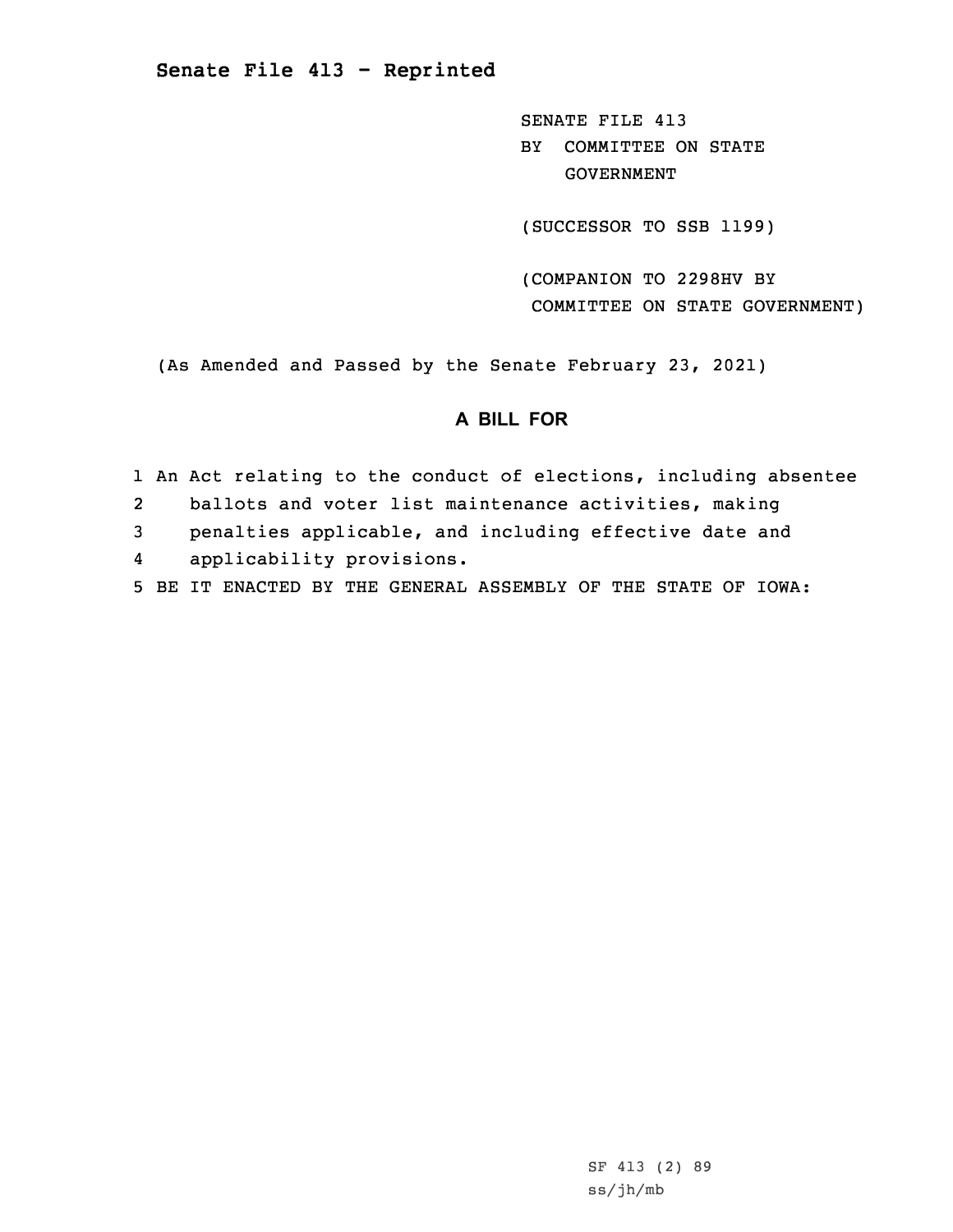SENATE FILE 413 BY COMMITTEE ON STATE GOVERNMENT

(SUCCESSOR TO SSB 1199)

(COMPANION TO 2298HV BY COMMITTEE ON STATE GOVERNMENT)

(As Amended and Passed by the Senate February 23, 2021)

# **A BILL FOR**

- 1 An Act relating to the conduct of elections, including absentee 2 ballots and voter list maintenance activities, making 3 penalties applicable, and including effective date and 4applicability provisions.
- 5 BE IT ENACTED BY THE GENERAL ASSEMBLY OF THE STATE OF IOWA:

SF 413 (2) 89 ss/jh/mb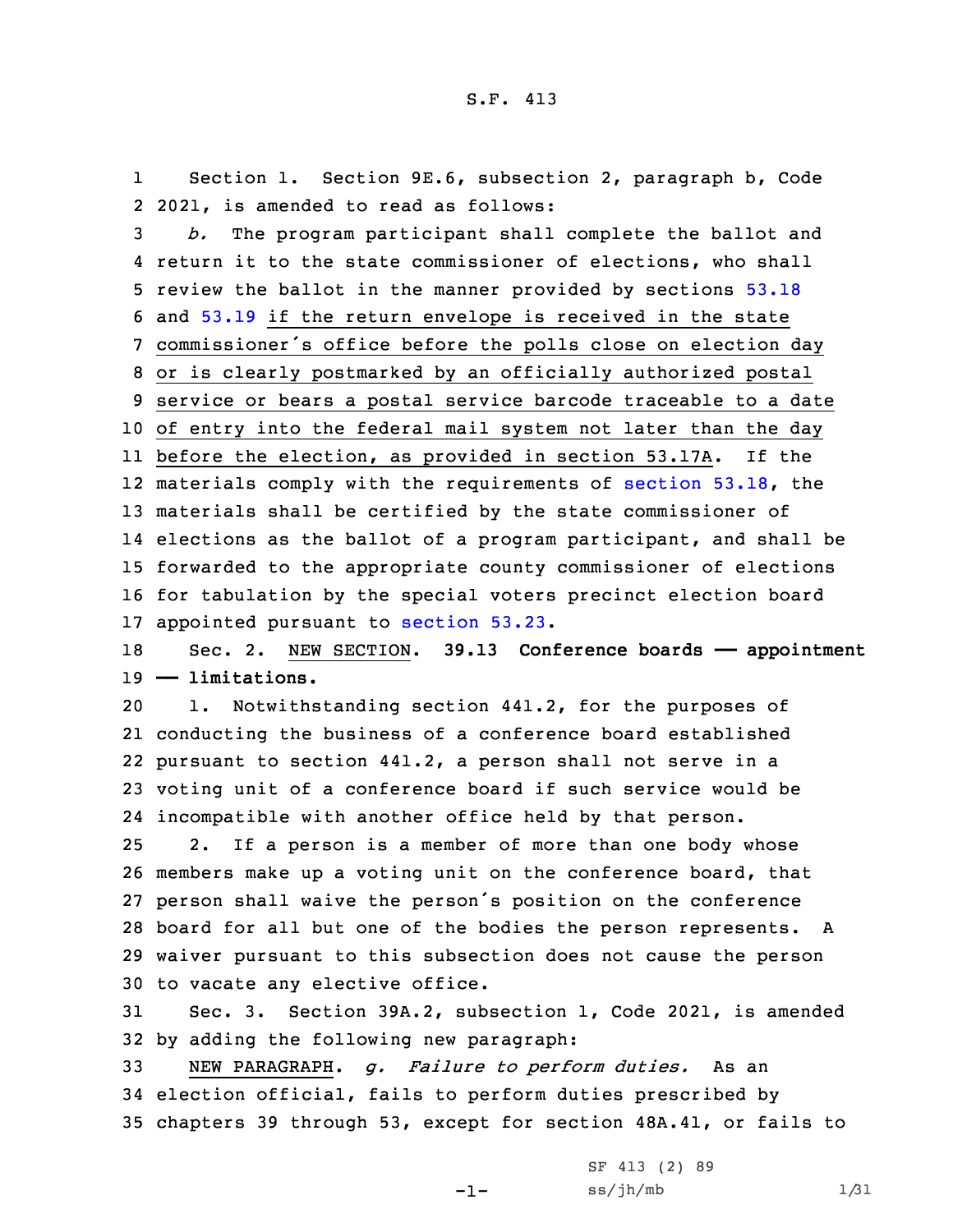1 Section 1. Section 9E.6, subsection 2, paragraph b, Code 2 2021, is amended to read as follows:

 *b.* The program participant shall complete the ballot and return it to the state commissioner of elections, who shall review the ballot in the manner provided by sections [53.18](https://www.legis.iowa.gov/docs/code/2021/53.18.pdf) and [53.19](https://www.legis.iowa.gov/docs/code/2021/53.19.pdf) if the return envelope is received in the state commissioner's office before the polls close on election day or is clearly postmarked by an officially authorized postal service or bears <sup>a</sup> postal service barcode traceable to <sup>a</sup> date of entry into the federal mail system not later than the day before the election, as provided in section 53.17A. If the 12 materials comply with the requirements of [section](https://www.legis.iowa.gov/docs/code/2021/53.18.pdf) 53.18, the materials shall be certified by the state commissioner of elections as the ballot of <sup>a</sup> program participant, and shall be forwarded to the appropriate county commissioner of elections for tabulation by the special voters precinct election board appointed pursuant to [section](https://www.legis.iowa.gov/docs/code/2021/53.23.pdf) 53.23.

18 Sec. 2. NEW SECTION. **39.13 Conference boards —— appointment** 19 **—— limitations.**

 1. Notwithstanding section 441.2, for the purposes of conducting the business of <sup>a</sup> conference board established pursuant to section 441.2, <sup>a</sup> person shall not serve in <sup>a</sup> voting unit of <sup>a</sup> conference board if such service would be incompatible with another office held by that person.

 2. If <sup>a</sup> person is <sup>a</sup> member of more than one body whose members make up <sup>a</sup> voting unit on the conference board, that person shall waive the person's position on the conference board for all but one of the bodies the person represents. <sup>A</sup> waiver pursuant to this subsection does not cause the person to vacate any elective office.

31 Sec. 3. Section 39A.2, subsection 1, Code 2021, is amended 32 by adding the following new paragraph:

33 NEW PARAGRAPH. *g. Failure to perform duties.* As an 34 election official, fails to perform duties prescribed by 35 chapters 39 through 53, except for section 48A.41, or fails to

 $-1-$ 

SF 413 (2) 89  $ss/jh/mb$  1/31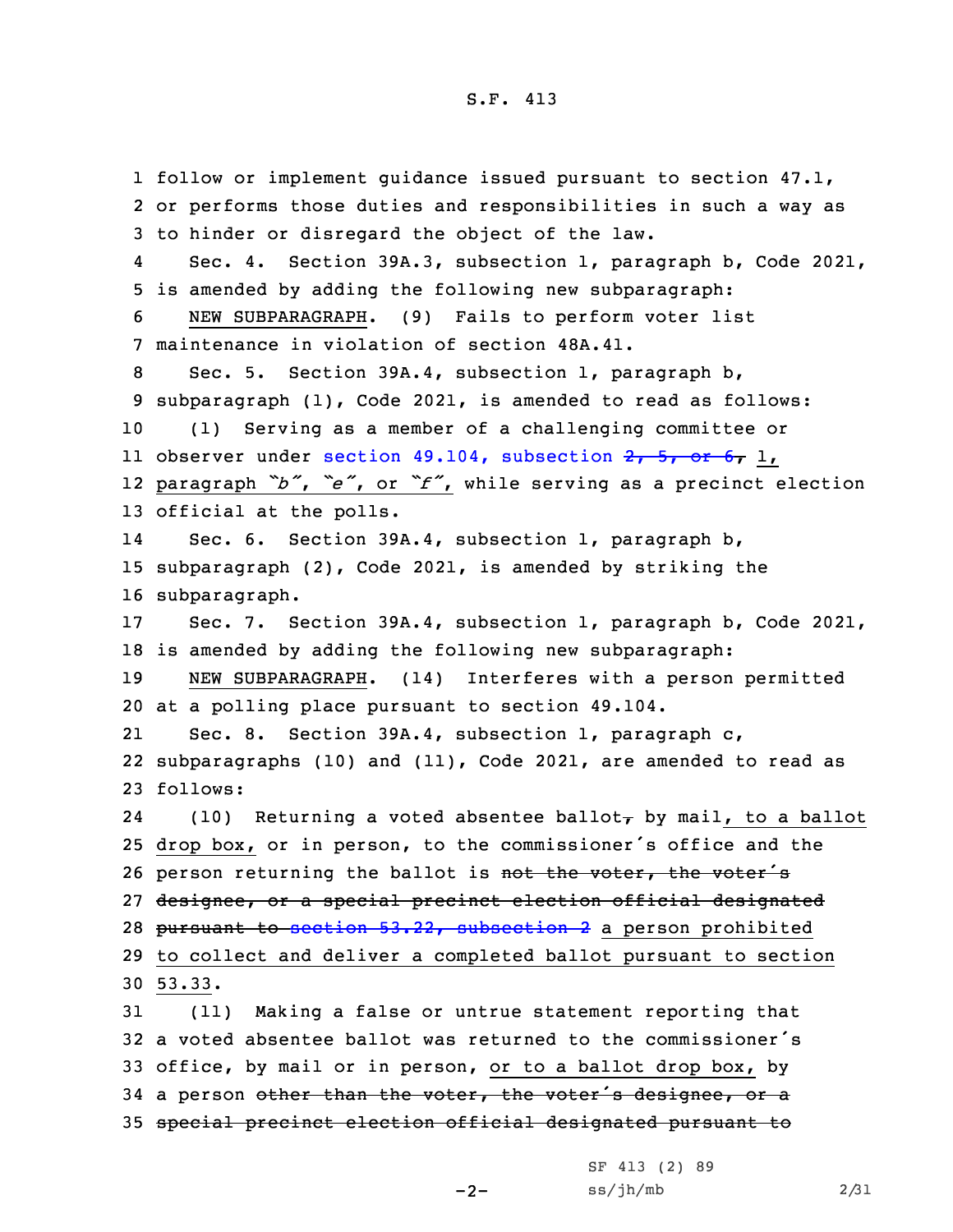follow or implement guidance issued pursuant to section 47.1, or performs those duties and responsibilities in such <sup>a</sup> way as to hinder or disregard the object of the law. 4 Sec. 4. Section 39A.3, subsection 1, paragraph b, Code 2021, is amended by adding the following new subparagraph: NEW SUBPARAGRAPH. (9) Fails to perform voter list maintenance in violation of section 48A.41. Sec. 5. Section 39A.4, subsection 1, paragraph b, subparagraph (1), Code 2021, is amended to read as follows: (1) Serving as <sup>a</sup> member of <sup>a</sup> challenging committee or 11 observer under section 49.104, [subsection](https://www.legis.iowa.gov/docs/code/2021/49.104.pdf) 2, 5, or 6, 1, paragraph *"b"*, *"e"*, or *"f"*, while serving as <sup>a</sup> precinct election official at the polls. 14 Sec. 6. Section 39A.4, subsection 1, paragraph b, subparagraph (2), Code 2021, is amended by striking the subparagraph. Sec. 7. Section 39A.4, subsection 1, paragraph b, Code 2021, is amended by adding the following new subparagraph: NEW SUBPARAGRAPH. (14) Interferes with <sup>a</sup> person permitted at <sup>a</sup> polling place pursuant to section 49.104. 21 Sec. 8. Section 39A.4, subsection 1, paragraph c, subparagraphs (10) and (11), Code 2021, are amended to read as 23 follows: 24(10) Returning a voted absentee ballot $_{\tau}$  by mail, to a ballot drop box, or in person, to the commissioner's office and the 26 person returning the ballot is not the voter, the voter's designee, or <sup>a</sup> special precinct election official designated 28 pursuant to section 53.22, [subsection](https://www.legis.iowa.gov/docs/code/2021/53.22.pdf) 2 a person prohibited to collect and deliver <sup>a</sup> completed ballot pursuant to section 30 53.33. (11) Making <sup>a</sup> false or untrue statement reporting that <sup>a</sup> voted absentee ballot was returned to the commissioner's office, by mail or in person, or to <sup>a</sup> ballot drop box, by 34 a person other than the voter, the voter's designee, or a special precinct election official designated pursuant to

 $-2-$ 

SF 413 (2) 89  $ss/jh/mb$  2/31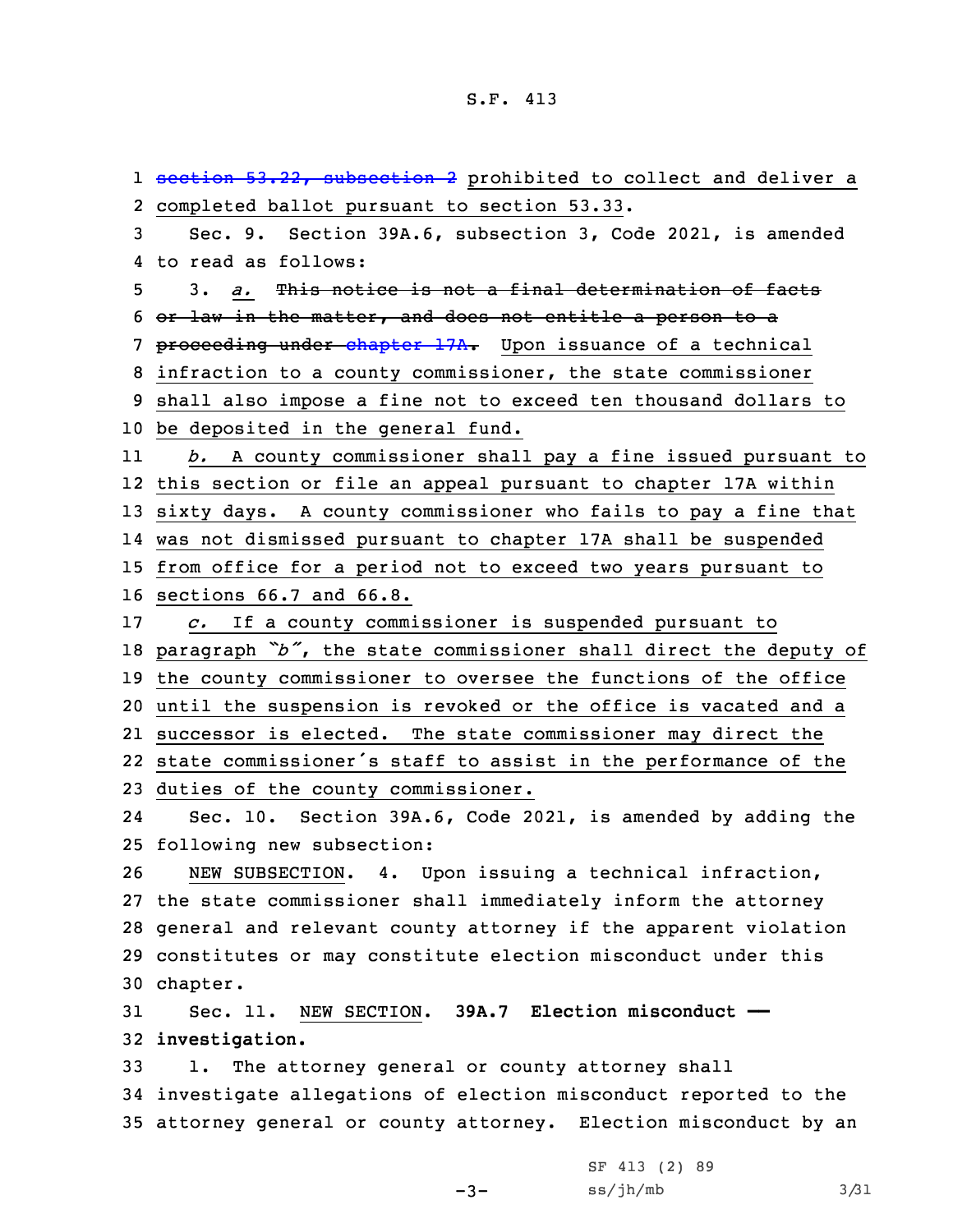1 section 53.22, [subsection](https://www.legis.iowa.gov/docs/code/2021/53.22.pdf) 2 prohibited to collect and deliver a completed ballot pursuant to section 53.33. Sec. 9. Section 39A.6, subsection 3, Code 2021, is amended to read as follows: 3. *a.* This notice is not <sup>a</sup> final determination of facts or law in the matter, and does not entitle <sup>a</sup> person to <sup>a</sup> 7 proceeding under [chapter](https://www.legis.iowa.gov/docs/code/2021/17A.pdf) 17A. Upon issuance of a technical infraction to <sup>a</sup> county commissioner, the state commissioner shall also impose <sup>a</sup> fine not to exceed ten thousand dollars to be deposited in the general fund. 11 *b.* <sup>A</sup> county commissioner shall pay <sup>a</sup> fine issued pursuant to this section or file an appeal pursuant to chapter 17A within sixty days. <sup>A</sup> county commissioner who fails to pay <sup>a</sup> fine that was not dismissed pursuant to chapter 17A shall be suspended from office for <sup>a</sup> period not to exceed two years pursuant to sections 66.7 and 66.8. *c.* If <sup>a</sup> county commissioner is suspended pursuant to paragraph *"b"*, the state commissioner shall direct the deputy of the county commissioner to oversee the functions of the office until the suspension is revoked or the office is vacated and <sup>a</sup> successor is elected. The state commissioner may direct the state commissioner's staff to assist in the performance of the duties of the county commissioner. 24 Sec. 10. Section 39A.6, Code 2021, is amended by adding the following new subsection: NEW SUBSECTION. 4. Upon issuing <sup>a</sup> technical infraction, the state commissioner shall immediately inform the attorney general and relevant county attorney if the apparent violation constitutes or may constitute election misconduct under this 30 chapter. Sec. 11. NEW SECTION. **39A.7 Election misconduct —— investigation.** 1. The attorney general or county attorney shall investigate allegations of election misconduct reported to the attorney general or county attorney. Election misconduct by an

-3-

SF 413 (2) 89  $ss/jh/mb$  3/31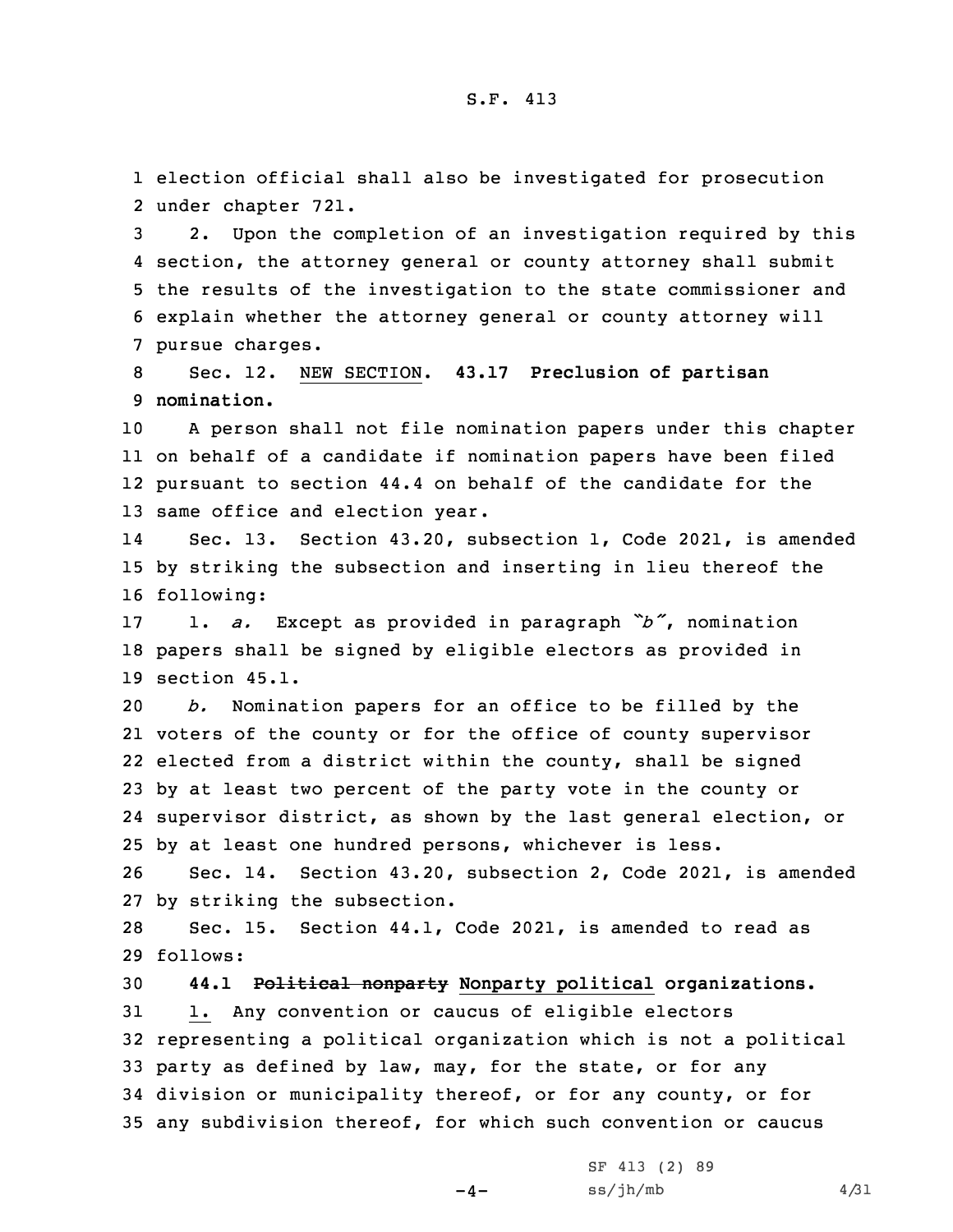1 election official shall also be investigated for prosecution 2 under chapter 721.

 2. Upon the completion of an investigation required by this section, the attorney general or county attorney shall submit the results of the investigation to the state commissioner and explain whether the attorney general or county attorney will pursue charges.

8 Sec. 12. NEW SECTION. **43.17 Preclusion of partisan** 9 **nomination.**

 <sup>A</sup> person shall not file nomination papers under this chapter on behalf of <sup>a</sup> candidate if nomination papers have been filed pursuant to section 44.4 on behalf of the candidate for the same office and election year.

14 Sec. 13. Section 43.20, subsection 1, Code 2021, is amended 15 by striking the subsection and inserting in lieu thereof the 16 following:

<sup>17</sup> 1. *a.* Except as provided in paragraph *"b"*, nomination 18 papers shall be signed by eligible electors as provided in 19 section 45.1.

 *b.* Nomination papers for an office to be filled by the voters of the county or for the office of county supervisor elected from <sup>a</sup> district within the county, shall be signed by at least two percent of the party vote in the county or supervisor district, as shown by the last general election, or by at least one hundred persons, whichever is less.

26 Sec. 14. Section 43.20, subsection 2, Code 2021, is amended 27 by striking the subsection.

28 Sec. 15. Section 44.1, Code 2021, is amended to read as 29 follows:

 **44.1 Political nonparty Nonparty political organizations.** 1. Any convention or caucus of eligible electors representing <sup>a</sup> political organization which is not <sup>a</sup> political party as defined by law, may, for the state, or for any division or municipality thereof, or for any county, or for any subdivision thereof, for which such convention or caucus

 $-4-$ 

SF 413 (2) 89  $ss/jh/mb$  4/31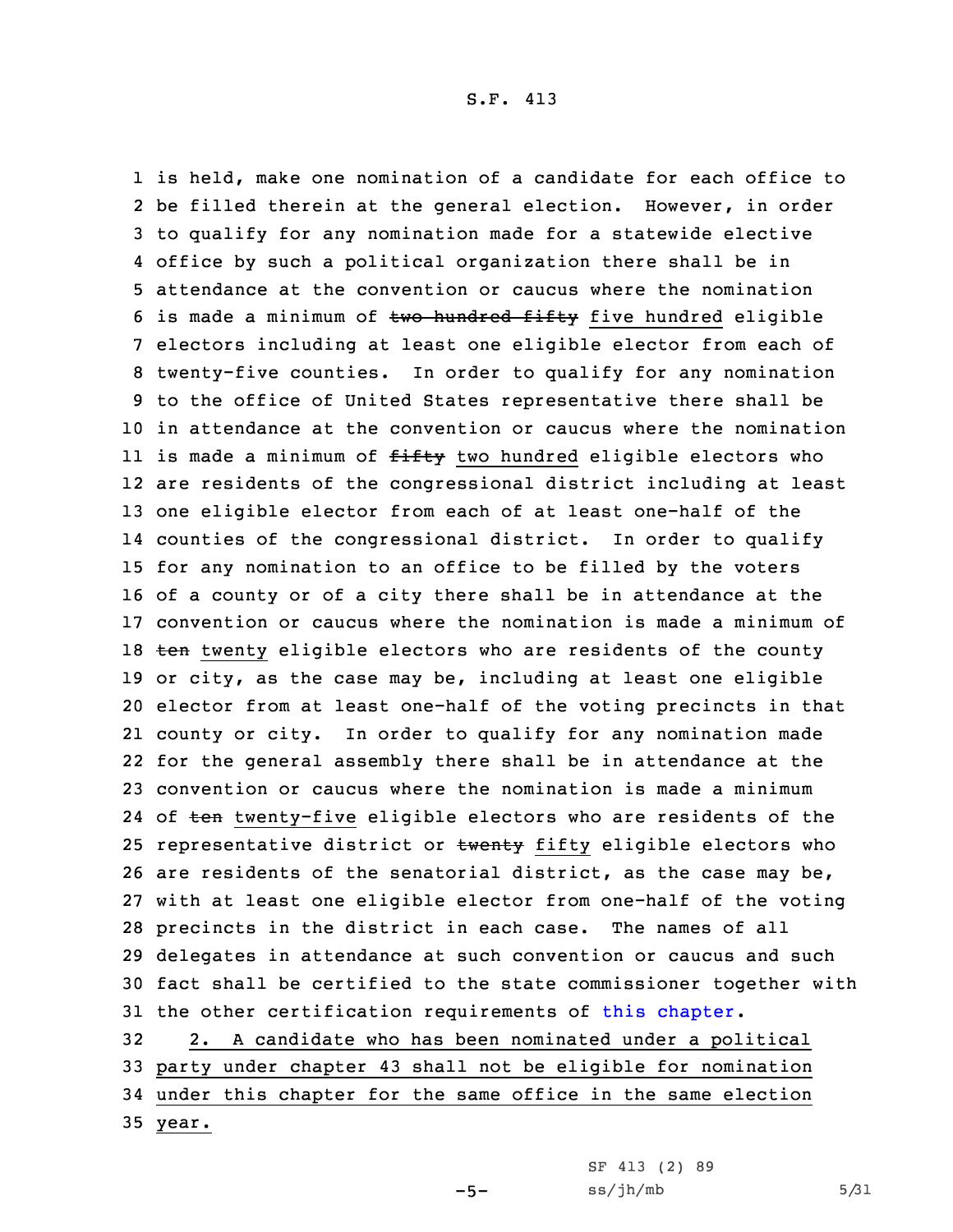is held, make one nomination of <sup>a</sup> candidate for each office to be filled therein at the general election. However, in order to qualify for any nomination made for <sup>a</sup> statewide elective office by such <sup>a</sup> political organization there shall be in attendance at the convention or caucus where the nomination 6 is made a minimum of  $two$  hundred  $f$ ifty five hundred eligible electors including at least one eligible elector from each of twenty-five counties. In order to qualify for any nomination to the office of United States representative there shall be in attendance at the convention or caucus where the nomination ll is made a minimum of <del>fifty</del> two hundred eligible electors who are residents of the congressional district including at least one eligible elector from each of at least one-half of the counties of the congressional district. In order to qualify for any nomination to an office to be filled by the voters of <sup>a</sup> county or of <sup>a</sup> city there shall be in attendance at the convention or caucus where the nomination is made <sup>a</sup> minimum of 18 ten twenty eligible electors who are residents of the county or city, as the case may be, including at least one eligible elector from at least one-half of the voting precincts in that county or city. In order to qualify for any nomination made for the general assembly there shall be in attendance at the convention or caucus where the nomination is made <sup>a</sup> minimum 24 of <del>ten</del> twenty-five eligible electors who are residents of the 25 representative district or twenty fifty eligible electors who are residents of the senatorial district, as the case may be, with at least one eligible elector from one-half of the voting precincts in the district in each case. The names of all delegates in attendance at such convention or caucus and such fact shall be certified to the state commissioner together with 31 the other certification requirements of this [chapter](https://www.legis.iowa.gov/docs/code/2021/44.pdf). 2. <sup>A</sup> candidate who has been nominated under <sup>a</sup> political party under chapter 43 shall not be eligible for nomination

34 under this chapter for the same office in the same election

 $-5-$ 

35 year.

SF 413 (2) 89  $ss/jh/mb$  5/31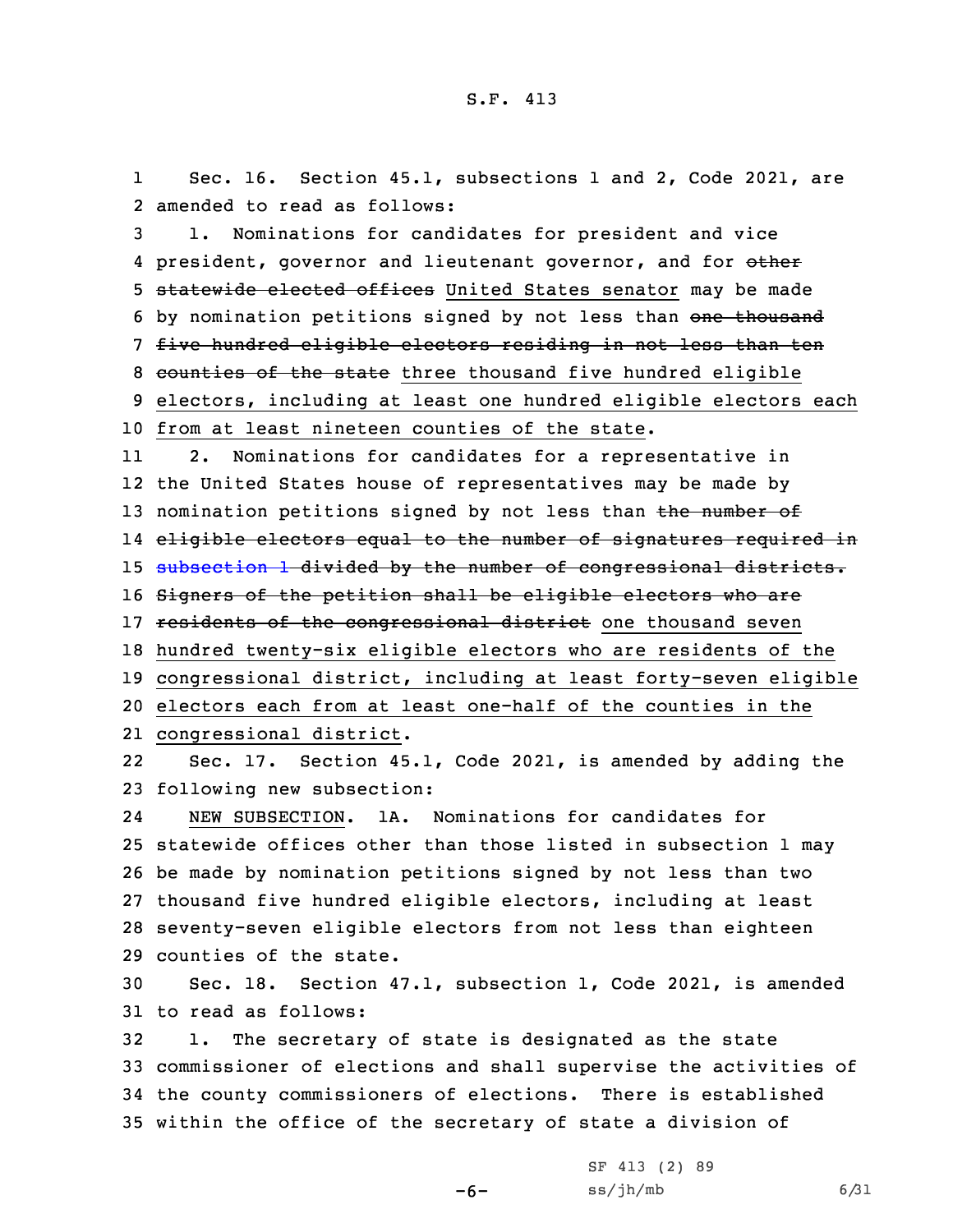1 Sec. 16. Section 45.1, subsections 1 and 2, Code 2021, are 2 amended to read as follows:

3 1. Nominations for candidates for president and vice 4 president, governor and lieutenant governor, and for <del>other</del> 5 statewide elected offices United States senator may be made 6 by nomination petitions signed by not less than one thousand 7 five hundred eligible electors residing in not less than ten 8 counties of the state three thousand five hundred eligible 9 electors, including at least one hundred eligible electors each 10 from at least nineteen counties of the state.

11 2. Nominations for candidates for <sup>a</sup> representative in 12 the United States house of representatives may be made by 13 nomination petitions signed by not less than the number of 14 eligible electors equal to the number of signatures required in 15 [subsection](https://www.legis.iowa.gov/docs/code/2021/45.1.pdf) 1 divided by the number of congressional districts. 16 Signers of the petition shall be eligible electors who are 17 residents of the congressional district one thousand seven 18 hundred twenty-six eligible electors who are residents of the 19 congressional district, including at least forty-seven eligible 20 electors each from at least one-half of the counties in the 21 congressional district.

22 Sec. 17. Section 45.1, Code 2021, is amended by adding the 23 following new subsection:

24 NEW SUBSECTION. 1A. Nominations for candidates for statewide offices other than those listed in subsection 1 may be made by nomination petitions signed by not less than two thousand five hundred eligible electors, including at least seventy-seven eligible electors from not less than eighteen counties of the state.

30 Sec. 18. Section 47.1, subsection 1, Code 2021, is amended 31 to read as follows:

 1. The secretary of state is designated as the state commissioner of elections and shall supervise the activities of the county commissioners of elections. There is established within the office of the secretary of state <sup>a</sup> division of

-6-

SF 413 (2) 89  $ss/jh/mb$  6/31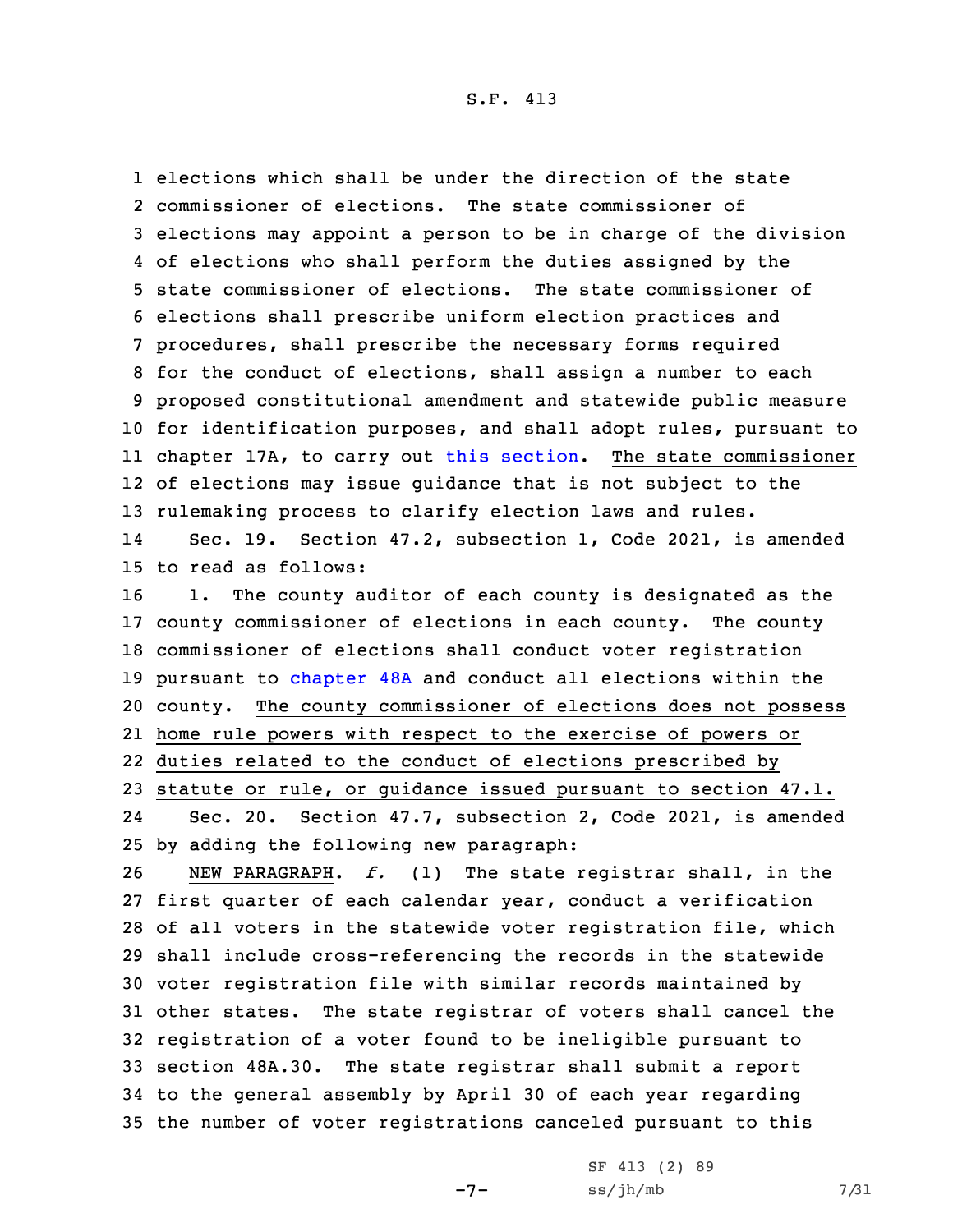1 elections which shall be under the direction of the state

 commissioner of elections. The state commissioner of elections may appoint <sup>a</sup> person to be in charge of the division of elections who shall perform the duties assigned by the state commissioner of elections. The state commissioner of elections shall prescribe uniform election practices and procedures, shall prescribe the necessary forms required for the conduct of elections, shall assign <sup>a</sup> number to each proposed constitutional amendment and statewide public measure for identification purposes, and shall adopt rules, pursuant to chapter 17A, to carry out this [section](https://www.legis.iowa.gov/docs/code/2021/47.1.pdf). The state commissioner of elections may issue guidance that is not subject to the rulemaking process to clarify election laws and rules. 14 Sec. 19. Section 47.2, subsection 1, Code 2021, is amended to read as follows: 1. The county auditor of each county is designated as the county commissioner of elections in each county. The county commissioner of elections shall conduct voter registration pursuant to [chapter](https://www.legis.iowa.gov/docs/code/2021/48A.pdf) 48A and conduct all elections within the county. The county commissioner of elections does not possess home rule powers with respect to the exercise of powers or duties related to the conduct of elections prescribed by statute or rule, or guidance issued pursuant to section 47.1. 24 Sec. 20. Section 47.7, subsection 2, Code 2021, is amended by adding the following new paragraph: NEW PARAGRAPH. *f.* (1) The state registrar shall, in the first quarter of each calendar year, conduct <sup>a</sup> verification of all voters in the statewide voter registration file, which shall include cross-referencing the records in the statewide voter registration file with similar records maintained by other states. The state registrar of voters shall cancel the registration of <sup>a</sup> voter found to be ineligible pursuant to section 48A.30. The state registrar shall submit <sup>a</sup> report

34 to the general assembly by April 30 of each year regarding 35 the number of voter registrations canceled pursuant to this

 $-7-$ 

SF 413 (2) 89  $ss/jh/mb$  7/31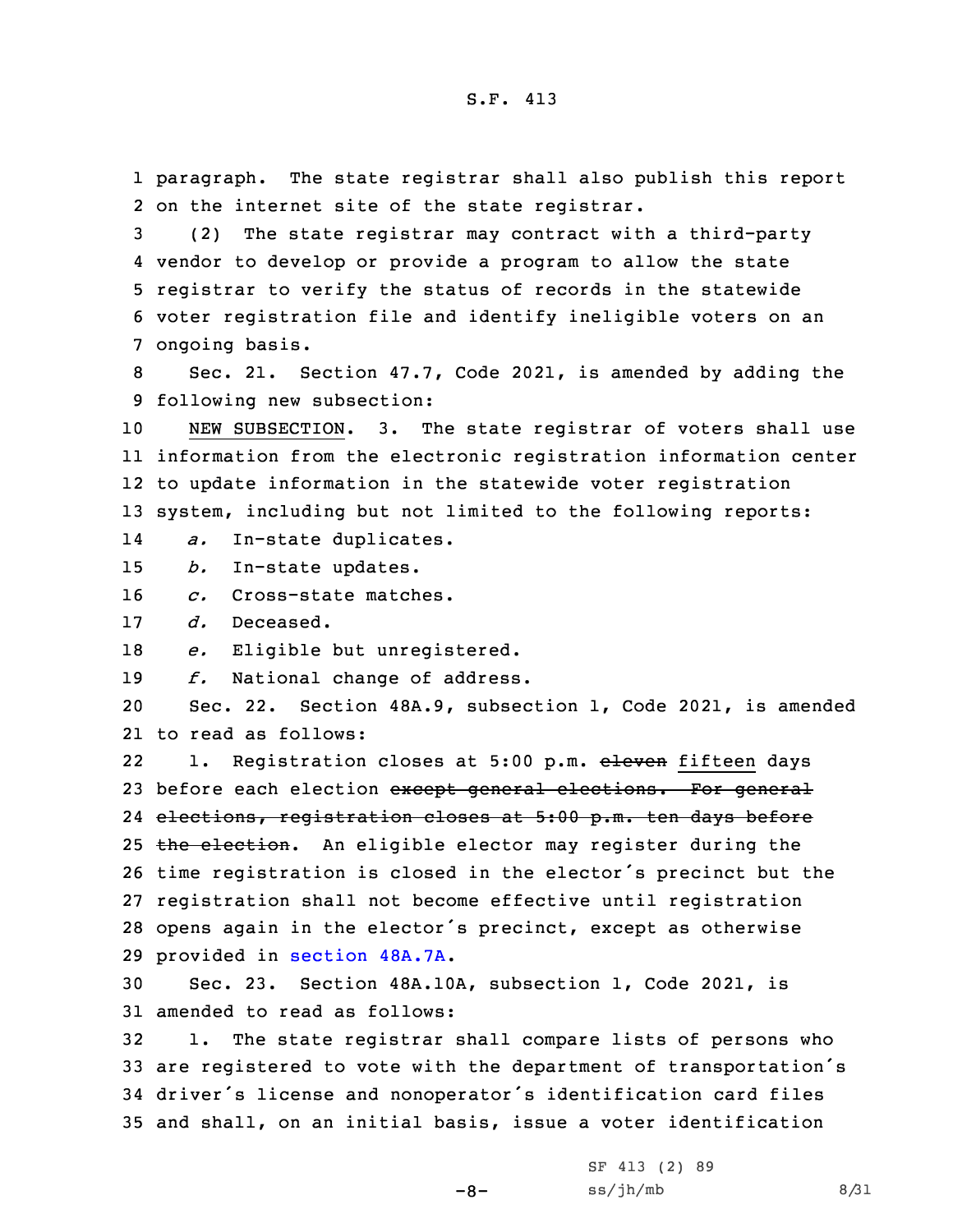1 paragraph. The state registrar shall also publish this report 2 on the internet site of the state registrar.

 (2) The state registrar may contract with <sup>a</sup> third-party vendor to develop or provide <sup>a</sup> program to allow the state registrar to verify the status of records in the statewide voter registration file and identify ineligible voters on an ongoing basis.

8 Sec. 21. Section 47.7, Code 2021, is amended by adding the 9 following new subsection:

 NEW SUBSECTION. 3. The state registrar of voters shall use information from the electronic registration information center to update information in the statewide voter registration system, including but not limited to the following reports:

14*a.* In-state duplicates.

15 *b.* In-state updates.

16 *c.* Cross-state matches.

17 *d.* Deceased.

18 *e.* Eligible but unregistered.

19 *f.* National change of address.

20 Sec. 22. Section 48A.9, subsection 1, Code 2021, is amended 21 to read as follows:

221. Registration closes at 5:00 p.m. eleven fifteen days 23 before each election except general elections. For general 24 elections, registration closes at 5:00 p.m. ten days before 25 the election. An eligible elector may register during the <sup>26</sup> time registration is closed in the elector's precinct but the 27 registration shall not become effective until registration <sup>28</sup> opens again in the elector's precinct, except as otherwise 29 provided in [section](https://www.legis.iowa.gov/docs/code/2021/48A.7A.pdf) 48A.7A.

30 Sec. 23. Section 48A.10A, subsection 1, Code 2021, is 31 amended to read as follows:

 1. The state registrar shall compare lists of persons who are registered to vote with the department of transportation's driver's license and nonoperator's identification card files and shall, on an initial basis, issue <sup>a</sup> voter identification

-8-

SF 413 (2) 89  $ss/jh/mb$  8/31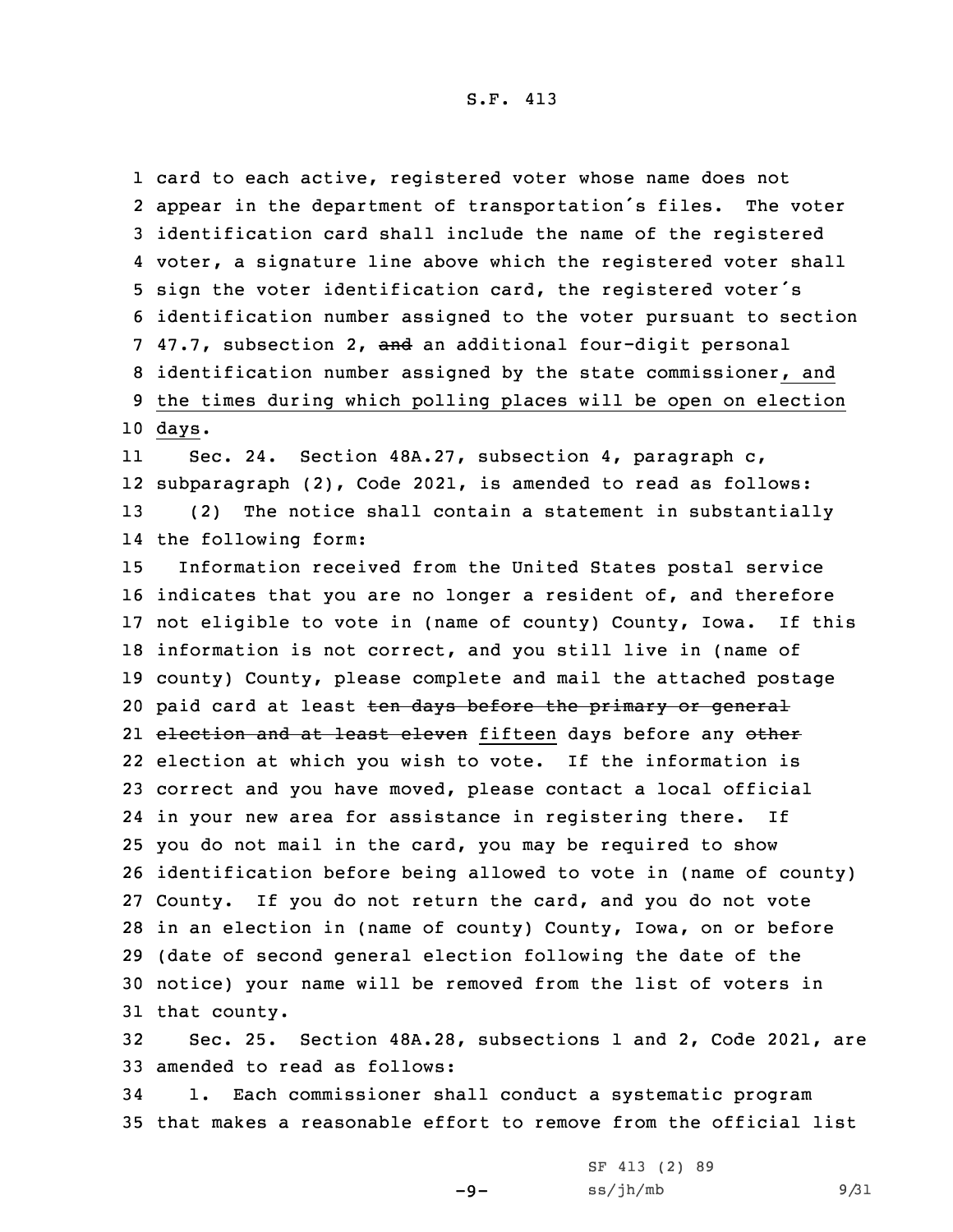card to each active, registered voter whose name does not appear in the department of transportation's files. The voter identification card shall include the name of the registered voter, <sup>a</sup> signature line above which the registered voter shall sign the voter identification card, the registered voter's identification number assigned to the voter pursuant to section 7 47.7, subsection 2, and an additional four-digit personal identification number assigned by the state commissioner, and the times during which polling places will be open on election 10 days.

11 Sec. 24. Section 48A.27, subsection 4, paragraph c, 12 subparagraph (2), Code 2021, is amended to read as follows: 13 (2) The notice shall contain <sup>a</sup> statement in substantially 14 the following form:

 Information received from the United States postal service indicates that you are no longer <sup>a</sup> resident of, and therefore not eligible to vote in (name of county) County, Iowa. If this information is not correct, and you still live in (name of county) County, please complete and mail the attached postage 20 paid card at least <del>ten days before the primary or general</del> 21 <del>election and at least eleven</del> fifteen days before any <del>other</del> election at which you wish to vote. If the information is correct and you have moved, please contact <sup>a</sup> local official in your new area for assistance in registering there. If you do not mail in the card, you may be required to show identification before being allowed to vote in (name of county) County. If you do not return the card, and you do not vote in an election in (name of county) County, Iowa, on or before (date of second general election following the date of the notice) your name will be removed from the list of voters in that county.

32 Sec. 25. Section 48A.28, subsections 1 and 2, Code 2021, are 33 amended to read as follows:

34 1. Each commissioner shall conduct <sup>a</sup> systematic program 35 that makes <sup>a</sup> reasonable effort to remove from the official list

-9-

```
SF 413 (2) 89
ss/jh/mb 9/31
```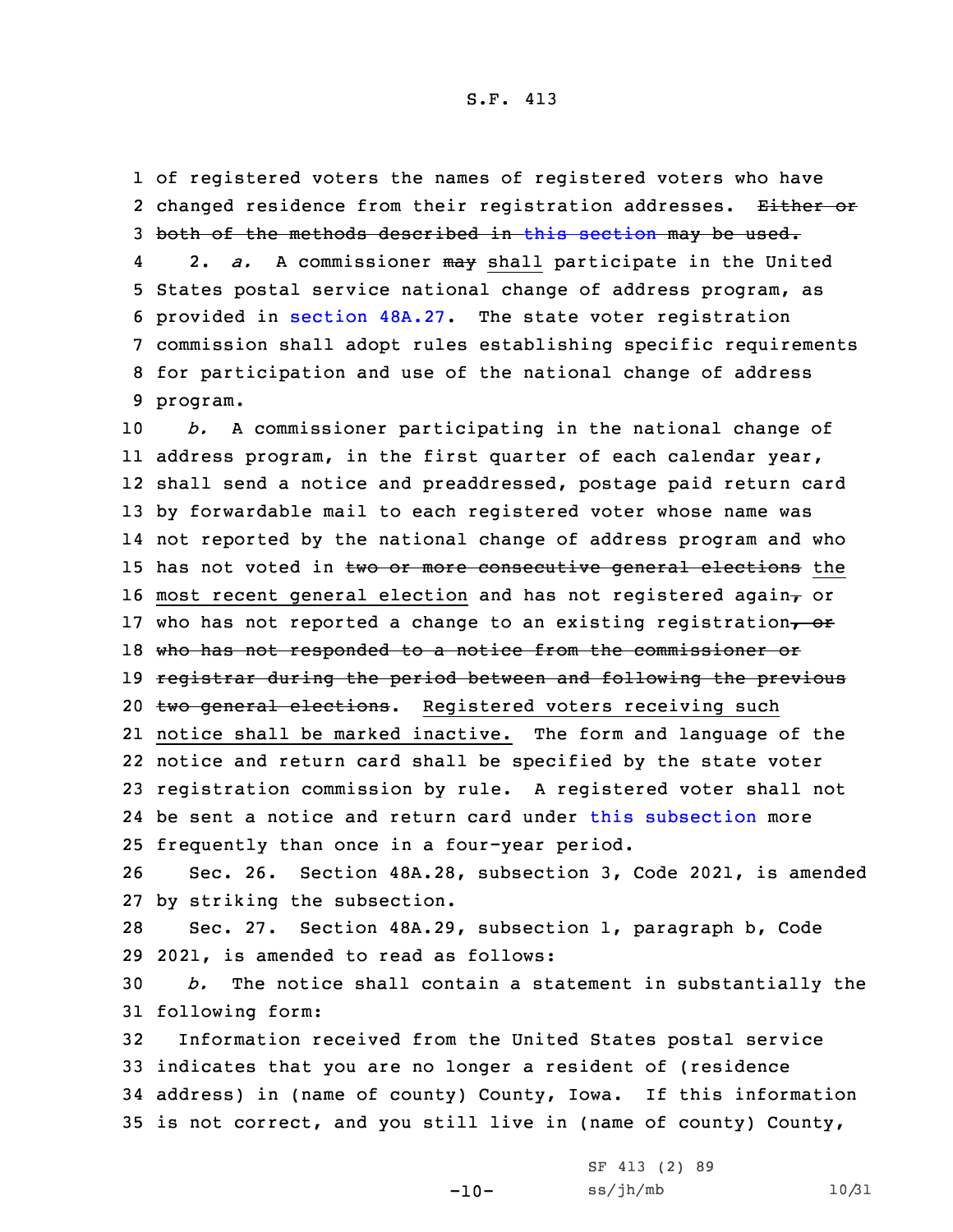1 of registered voters the names of registered voters who have 2 changed residence from their registration addresses. <del>Either or</del> 3 both of the methods described in this [section](https://www.legis.iowa.gov/docs/code/2021/48A.28.pdf) may be used. 4 2. *a.* <sup>A</sup> commissioner may shall participate in the United 5 States postal service national change of address program, as 6 provided in [section](https://www.legis.iowa.gov/docs/code/2021/48A.27.pdf) 48A.27. The state voter registration 7 commission shall adopt rules establishing specific requirements 8 for participation and use of the national change of address 9 program.

 *b.* <sup>A</sup> commissioner participating in the national change of address program, in the first quarter of each calendar year, shall send <sup>a</sup> notice and preaddressed, postage paid return card by forwardable mail to each registered voter whose name was not reported by the national change of address program and who 15 has not voted in two or more consecutive general elections the 16 most recent general election and has not registered again $<sub>r</sub>$  or</sub> 17 who has not reported a change to an existing registration, or 18 who has not responded to a notice from the commissioner or 19 registrar during the period between and following the previous 20 two general elections. Registered voters receiving such notice shall be marked inactive. The form and language of the notice and return card shall be specified by the state voter registration commission by rule. <sup>A</sup> registered voter shall not be sent <sup>a</sup> notice and return card under this [subsection](https://www.legis.iowa.gov/docs/code/2021/48A.28.pdf) more frequently than once in <sup>a</sup> four-year period.

26 Sec. 26. Section 48A.28, subsection 3, Code 2021, is amended 27 by striking the subsection.

28 Sec. 27. Section 48A.29, subsection 1, paragraph b, Code 29 2021, is amended to read as follows:

30 *b.* The notice shall contain <sup>a</sup> statement in substantially the 31 following form:

 Information received from the United States postal service indicates that you are no longer <sup>a</sup> resident of (residence address) in (name of county) County, Iowa. If this information is not correct, and you still live in (name of county) County,

> -10- SF 413 (2) 89 ss/jh/mb 10/31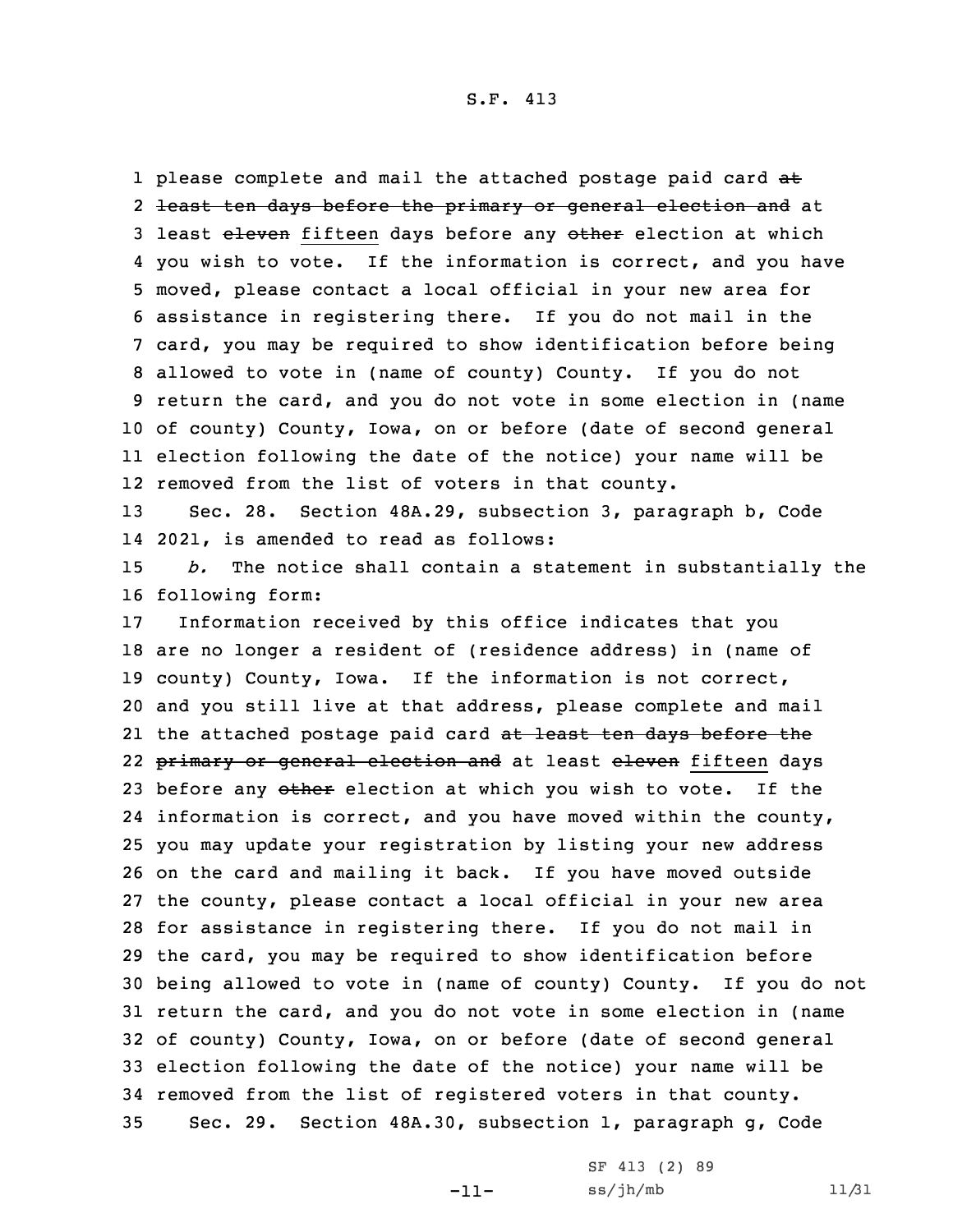1 please complete and mail the attached postage paid card at 2 <del>least ten days before the primary or general election and</del> at 3 least eleven fifteen days before any other election at which you wish to vote. If the information is correct, and you have moved, please contact <sup>a</sup> local official in your new area for assistance in registering there. If you do not mail in the card, you may be required to show identification before being allowed to vote in (name of county) County. If you do not return the card, and you do not vote in some election in (name of county) County, Iowa, on or before (date of second general election following the date of the notice) your name will be removed from the list of voters in that county.

13 Sec. 28. Section 48A.29, subsection 3, paragraph b, Code 14 2021, is amended to read as follows:

15 *b.* The notice shall contain <sup>a</sup> statement in substantially the 16 following form:

 Information received by this office indicates that you are no longer <sup>a</sup> resident of (residence address) in (name of county) County, Iowa. If the information is not correct, and you still live at that address, please complete and mail 21 the attached postage paid card <del>at least ten days before the</del> 22 <del>primary or general election and</del> at least <del>eleven</del> fifteen days 23 before any other election at which you wish to vote. If the information is correct, and you have moved within the county, you may update your registration by listing your new address on the card and mailing it back. If you have moved outside the county, please contact <sup>a</sup> local official in your new area for assistance in registering there. If you do not mail in the card, you may be required to show identification before being allowed to vote in (name of county) County. If you do not return the card, and you do not vote in some election in (name of county) County, Iowa, on or before (date of second general election following the date of the notice) your name will be removed from the list of registered voters in that county. Sec. 29. Section 48A.30, subsection 1, paragraph g, Code

-11-

SF 413 (2) 89 ss/jh/mb 11/31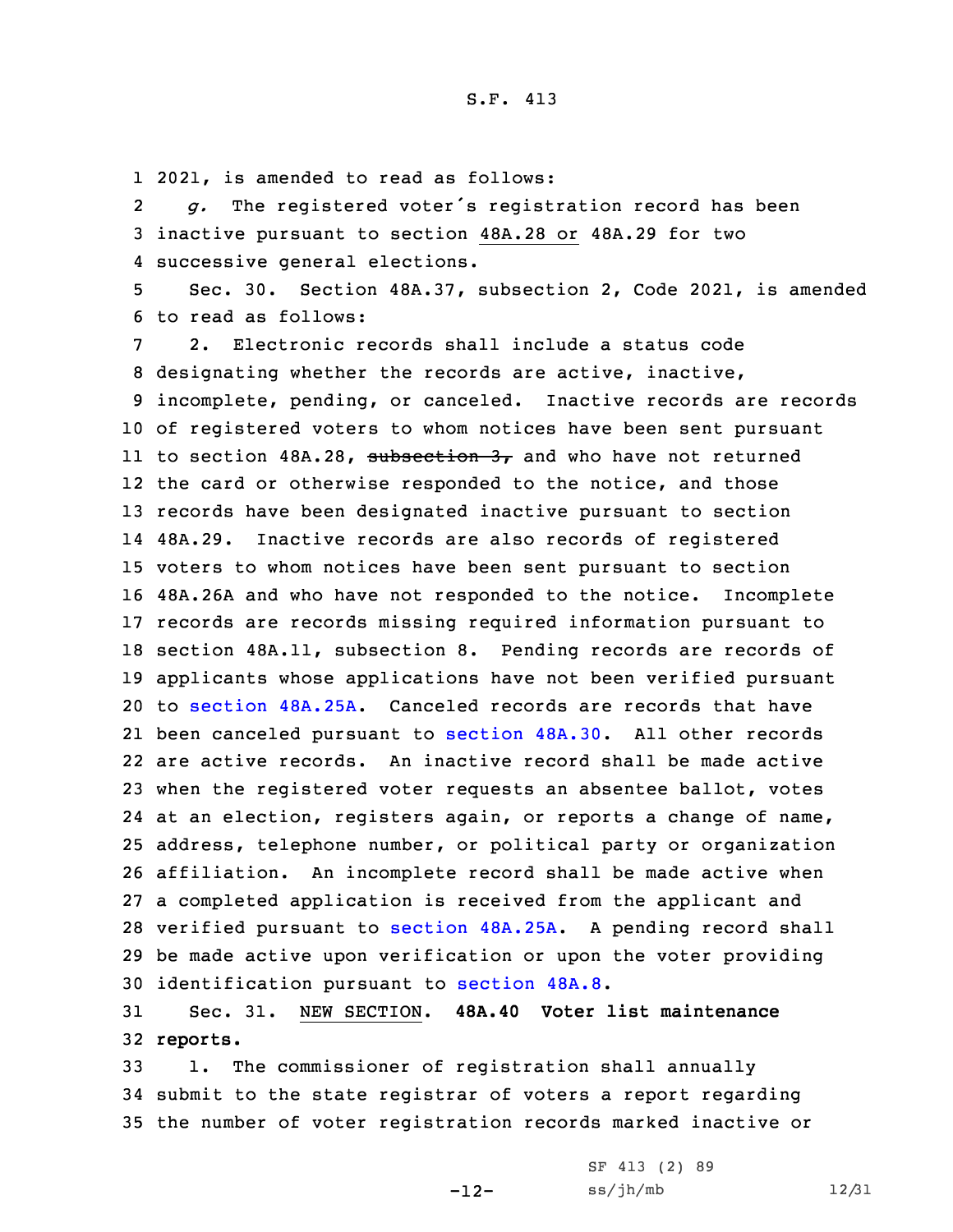1 2021, is amended to read as follows:

2 *g.* The registered voter's registration record has been 3 inactive pursuant to section 48A.28 or 48A.29 for two 4 successive general elections.

5 Sec. 30. Section 48A.37, subsection 2, Code 2021, is amended 6 to read as follows:

 2. Electronic records shall include <sup>a</sup> status code designating whether the records are active, inactive, incomplete, pending, or canceled. Inactive records are records of registered voters to whom notices have been sent pursuant 11 to section 48A.28, <del>subsection 3,</del> and who have not returned the card or otherwise responded to the notice, and those records have been designated inactive pursuant to section 48A.29. Inactive records are also records of registered voters to whom notices have been sent pursuant to section 48A.26A and who have not responded to the notice. Incomplete records are records missing required information pursuant to section 48A.11, subsection 8. Pending records are records of applicants whose applications have not been verified pursuant to [section](https://www.legis.iowa.gov/docs/code/2021/48A.25A.pdf) 48A.25A. Canceled records are records that have been canceled pursuant to [section](https://www.legis.iowa.gov/docs/code/2021/48A.30.pdf) 48A.30. All other records are active records. An inactive record shall be made active when the registered voter requests an absentee ballot, votes at an election, registers again, or reports <sup>a</sup> change of name, address, telephone number, or political party or organization affiliation. An incomplete record shall be made active when <sup>a</sup> completed application is received from the applicant and verified pursuant to [section](https://www.legis.iowa.gov/docs/code/2021/48A.25A.pdf) 48A.25A. <sup>A</sup> pending record shall be made active upon verification or upon the voter providing identification pursuant to [section](https://www.legis.iowa.gov/docs/code/2021/48A.8.pdf) 48A.8.

31 Sec. 31. NEW SECTION. **48A.40 Voter list maintenance** 32 **reports.**

33 1. The commissioner of registration shall annually 34 submit to the state registrar of voters <sup>a</sup> report regarding 35 the number of voter registration records marked inactive or

-12-

```
SF 413 (2) 89
ss/jh/mb 12/31
```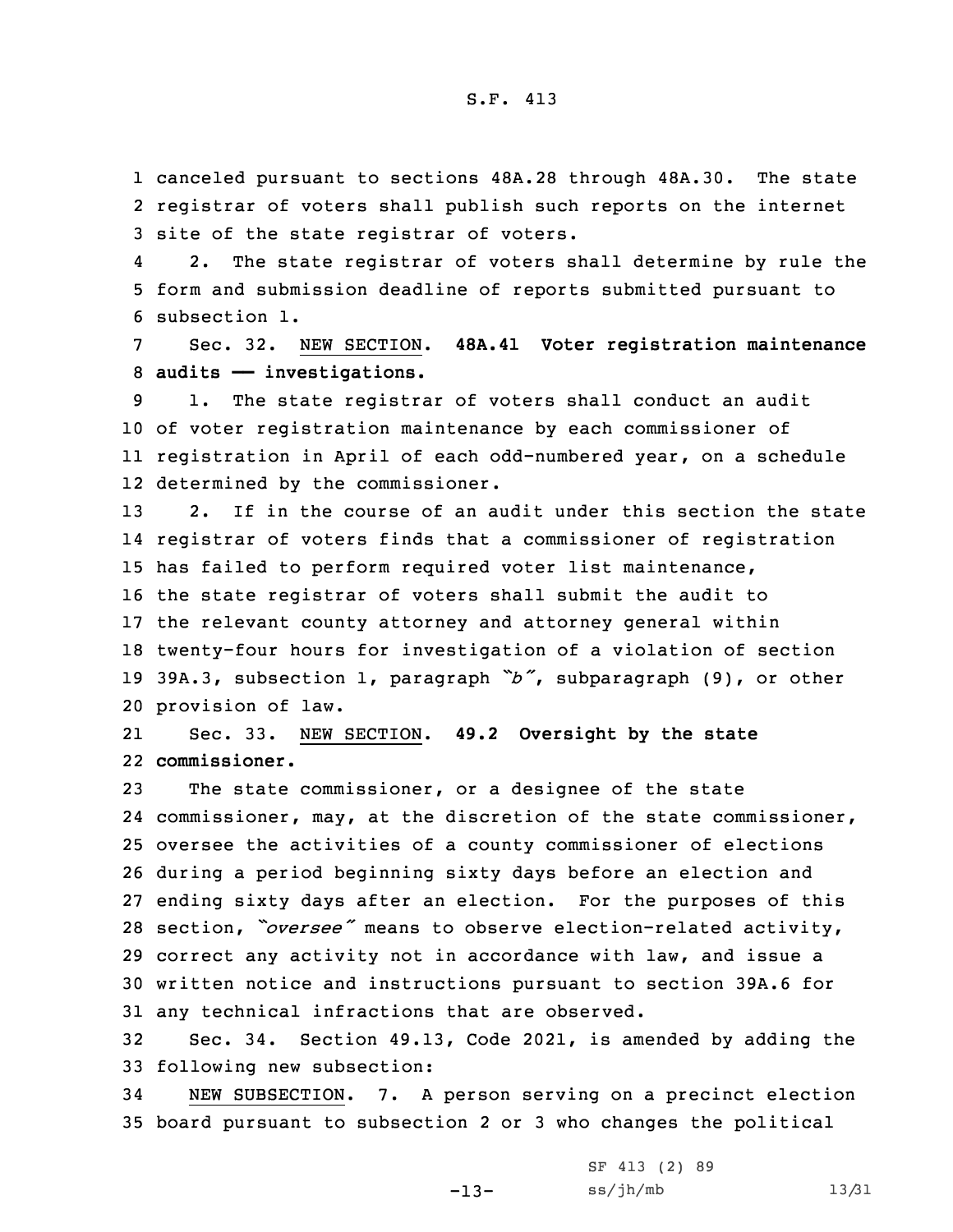1 canceled pursuant to sections 48A.28 through 48A.30. The state 2 registrar of voters shall publish such reports on the internet 3 site of the state registrar of voters.

4 2. The state registrar of voters shall determine by rule the 5 form and submission deadline of reports submitted pursuant to 6 subsection 1.

7 Sec. 32. NEW SECTION. **48A.41 Voter registration maintenance** 8 **audits —— investigations.**

 1. The state registrar of voters shall conduct an audit of voter registration maintenance by each commissioner of registration in April of each odd-numbered year, on <sup>a</sup> schedule determined by the commissioner.

 2. If in the course of an audit under this section the state registrar of voters finds that <sup>a</sup> commissioner of registration has failed to perform required voter list maintenance, the state registrar of voters shall submit the audit to the relevant county attorney and attorney general within twenty-four hours for investigation of <sup>a</sup> violation of section 39A.3, subsection 1, paragraph *"b"*, subparagraph (9), or other provision of law.

21 Sec. 33. NEW SECTION. **49.2 Oversight by the state** 22 **commissioner.**

 The state commissioner, or <sup>a</sup> designee of the state commissioner, may, at the discretion of the state commissioner, oversee the activities of <sup>a</sup> county commissioner of elections during <sup>a</sup> period beginning sixty days before an election and ending sixty days after an election. For the purposes of this section, *"oversee"* means to observe election-related activity, correct any activity not in accordance with law, and issue <sup>a</sup> written notice and instructions pursuant to section 39A.6 for any technical infractions that are observed.

32 Sec. 34. Section 49.13, Code 2021, is amended by adding the 33 following new subsection:

34 NEW SUBSECTION. 7. <sup>A</sup> person serving on <sup>a</sup> precinct election 35 board pursuant to subsection 2 or 3 who changes the political

-13-

| SF 413 (2) 89 |       |
|---------------|-------|
| ss/jh/mb      | 13/31 |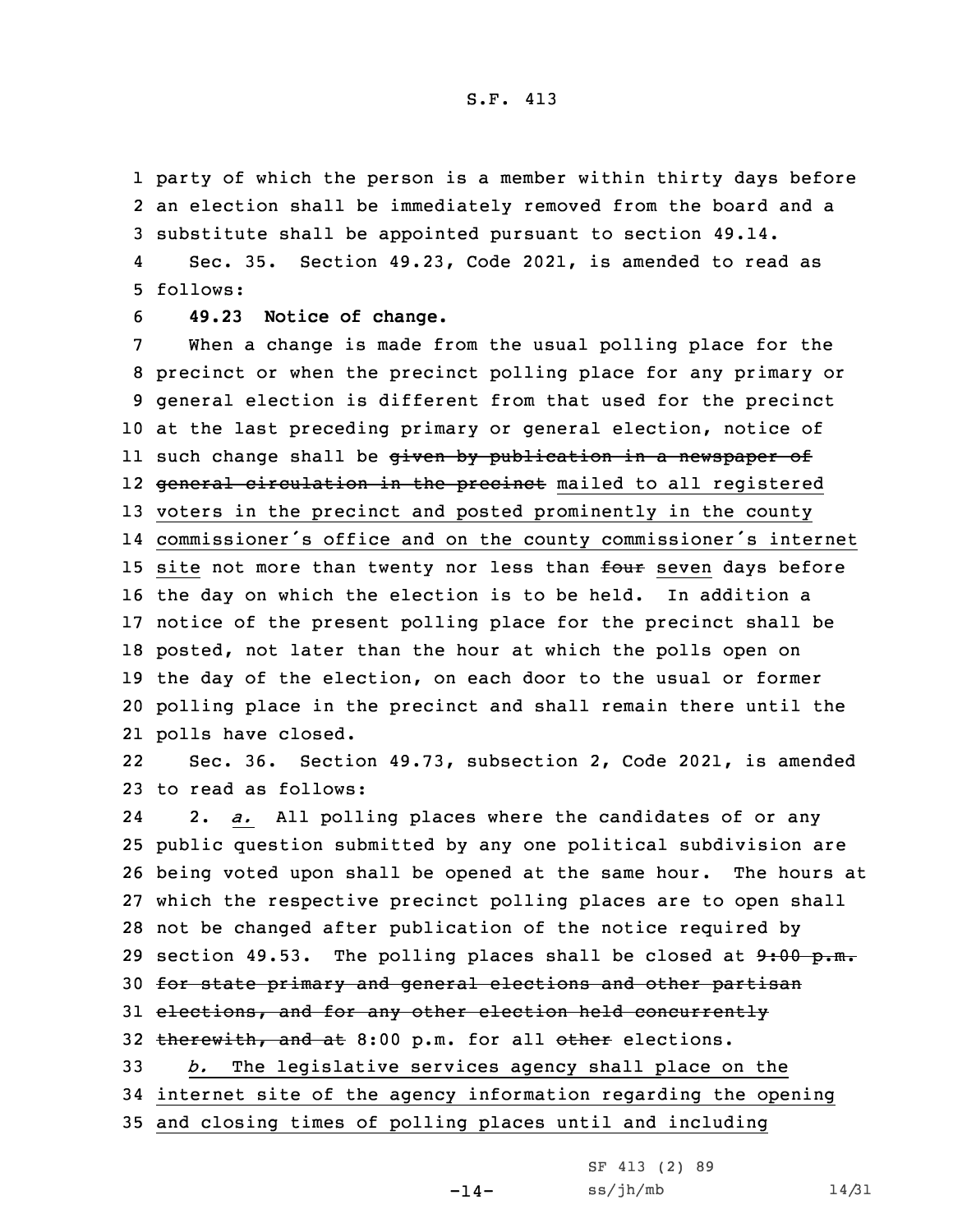1 party of which the person is <sup>a</sup> member within thirty days before 2 an election shall be immediately removed from the board and <sup>a</sup> 3 substitute shall be appointed pursuant to section 49.14.

4 Sec. 35. Section 49.23, Code 2021, is amended to read as 5 follows:

6 **49.23 Notice of change.**

 When <sup>a</sup> change is made from the usual polling place for the precinct or when the precinct polling place for any primary or general election is different from that used for the precinct at the last preceding primary or general election, notice of ll such change shall be <del>given by publication in a newspaper of</del> 12 <del>general circulation in the precinct</del> mailed to all registered voters in the precinct and posted prominently in the county commissioner's office and on the county commissioner's internet 15 site not more than twenty nor less than four seven days before the day on which the election is to be held. In addition <sup>a</sup> notice of the present polling place for the precinct shall be posted, not later than the hour at which the polls open on the day of the election, on each door to the usual or former polling place in the precinct and shall remain there until the polls have closed.

22 Sec. 36. Section 49.73, subsection 2, Code 2021, is amended 23 to read as follows:

24 2. *a.* All polling places where the candidates of or any 25 public question submitted by any one political subdivision are 26 being voted upon shall be opened at the same hour. The hours at 27 which the respective precinct polling places are to open shall 28 not be changed after publication of the notice required by 29 section 49.53. The polling places shall be closed at  $9:00 \text{ p.m.}$ 30 for state primary and general elections and other partisan 31 elections, and for any other election held concurrently 32 therewith, and at 8:00 p.m. for all other elections. 33 *b.* The legislative services agency shall place on the 34 internet site of the agency information regarding the opening 35 and closing times of polling places until and including

-14-

```
SF 413 (2) 89
ss/jh/mb 14/31
```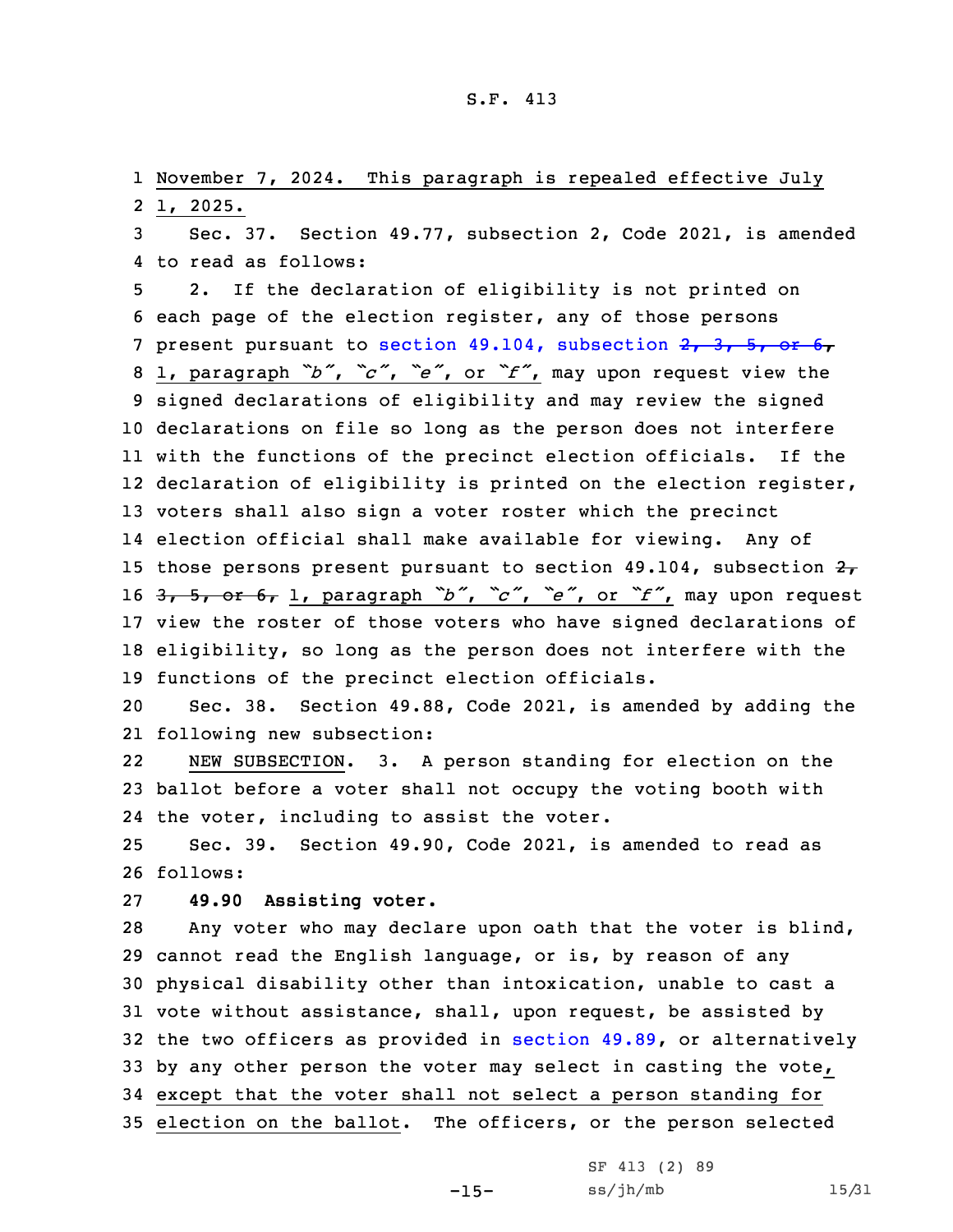1 November 7, 2024. This paragraph is repealed effective July 2 1, 2025.

3 Sec. 37. Section 49.77, subsection 2, Code 2021, is amended 4 to read as follows:

 2. If the declaration of eligibility is not printed on each page of the election register, any of those persons 7 present pursuant to section 49.104, [subsection](https://www.legis.iowa.gov/docs/code/2021/49.104.pdf)  $2, 3, 5, 6$  1, paragraph *"b"*, *"c"*, *"e"*, or *"f"*, may upon request view the signed declarations of eligibility and may review the signed declarations on file so long as the person does not interfere with the functions of the precinct election officials. If the declaration of eligibility is printed on the election register, voters shall also sign <sup>a</sup> voter roster which the precinct election official shall make available for viewing. Any of 15 those persons present pursuant to section 49.104, subsection  $27$  3, 5, or 6, 1, paragraph *"b"*, *"c"*, *"e"*, or *"f"*, may upon request view the roster of those voters who have signed declarations of eligibility, so long as the person does not interfere with the functions of the precinct election officials.

20 Sec. 38. Section 49.88, Code 2021, is amended by adding the 21 following new subsection:

22 NEW SUBSECTION. 3. <sup>A</sup> person standing for election on the 23 ballot before <sup>a</sup> voter shall not occupy the voting booth with 24 the voter, including to assist the voter.

25 Sec. 39. Section 49.90, Code 2021, is amended to read as 26 follows:

27 **49.90 Assisting voter.**

 Any voter who may declare upon oath that the voter is blind, cannot read the English language, or is, by reason of any physical disability other than intoxication, unable to cast <sup>a</sup> vote without assistance, shall, upon request, be assisted by the two officers as provided in [section](https://www.legis.iowa.gov/docs/code/2021/49.89.pdf) 49.89, or alternatively by any other person the voter may select in casting the vote, except that the voter shall not select <sup>a</sup> person standing for election on the ballot. The officers, or the person selected

-15-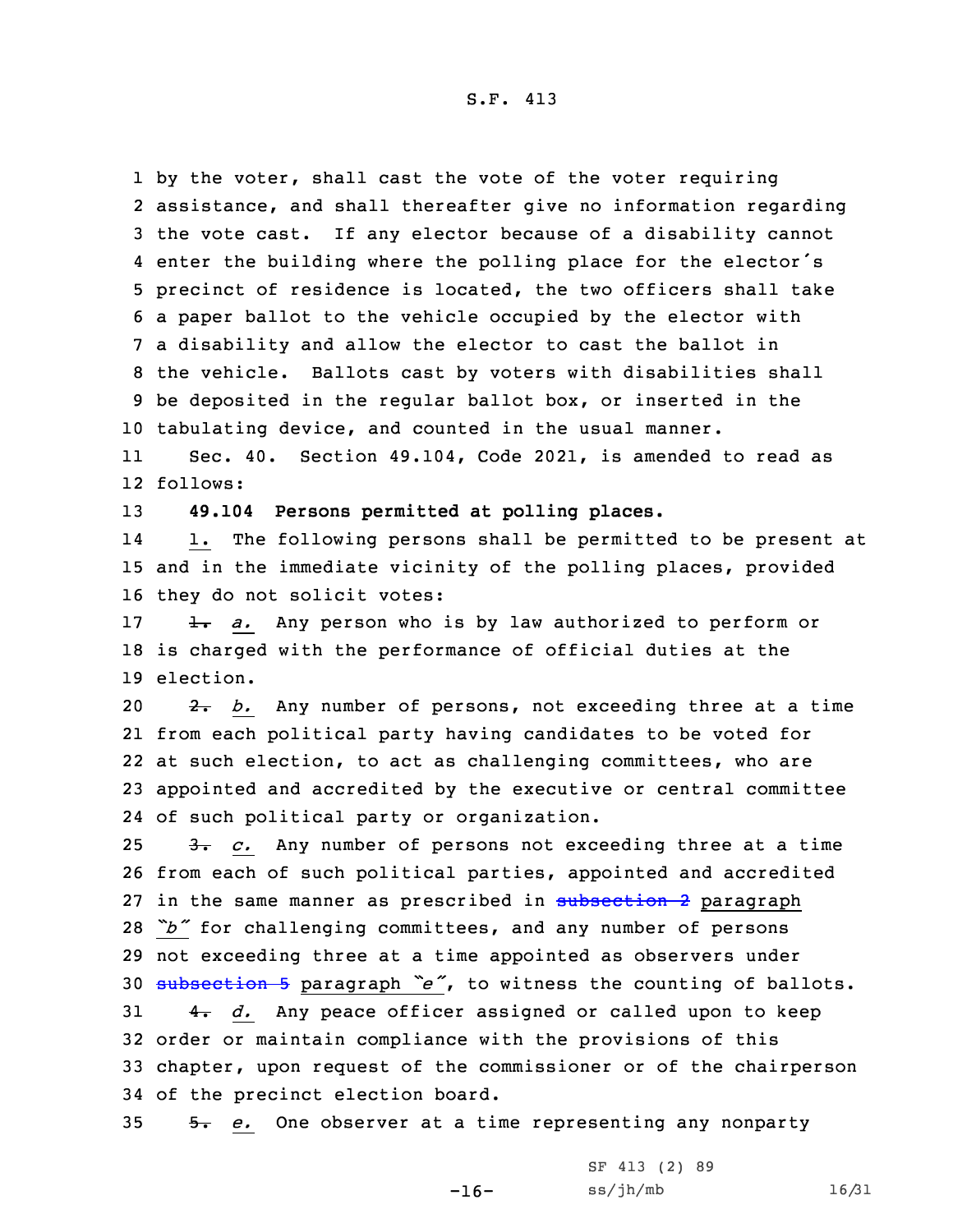by the voter, shall cast the vote of the voter requiring assistance, and shall thereafter give no information regarding the vote cast. If any elector because of <sup>a</sup> disability cannot enter the building where the polling place for the elector's precinct of residence is located, the two officers shall take <sup>a</sup> paper ballot to the vehicle occupied by the elector with <sup>a</sup> disability and allow the elector to cast the ballot in the vehicle. Ballots cast by voters with disabilities shall be deposited in the regular ballot box, or inserted in the tabulating device, and counted in the usual manner.

11 Sec. 40. Section 49.104, Code 2021, is amended to read as 12 follows:

13 **49.104 Persons permitted at polling places.**

14 1. The following persons shall be permitted to be present at 15 and in the immediate vicinity of the polling places, provided 16 they do not solicit votes:

17 1. *a.* Any person who is by law authorized to perform or 18 is charged with the performance of official duties at the 19 election.

20 2. *b.* Any number of persons, not exceeding three at a time from each political party having candidates to be voted for at such election, to act as challenging committees, who are appointed and accredited by the executive or central committee of such political party or organization.

25 3. *c.* Any number of persons not exceeding three at a time from each of such political parties, appointed and accredited 27 in the same manner as prescribed in [subsection](https://www.legis.iowa.gov/docs/code/2021/49.104.pdf) 2 paragraph *"b"* for challenging committees, and any number of persons not exceeding three at <sup>a</sup> time appointed as observers under [subsection](https://www.legis.iowa.gov/docs/code/2021/49.104.pdf) <sup>5</sup> paragraph *"e"*, to witness the counting of ballots.  $\frac{4}{100}$  d. Any peace officer assigned or called upon to keep order or maintain compliance with the provisions of this chapter, upon request of the commissioner or of the chairperson of the precinct election board.

35 5. *e.* One observer at <sup>a</sup> time representing any nonparty

-16-

SF 413 (2) 89 ss/jh/mb 16/31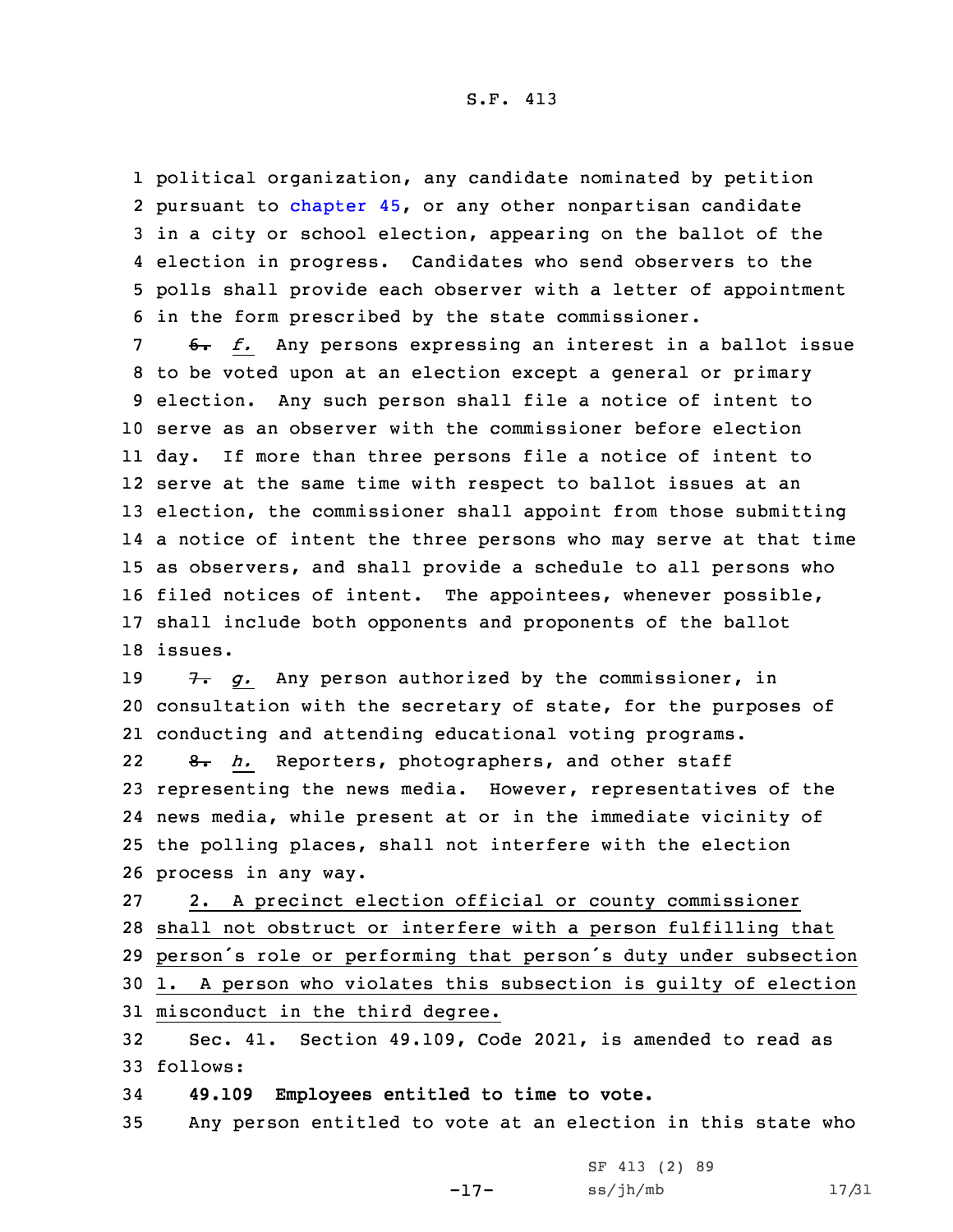political organization, any candidate nominated by petition 2 pursuant to [chapter](https://www.legis.iowa.gov/docs/code/2021/45.pdf) 45, or any other nonpartisan candidate in <sup>a</sup> city or school election, appearing on the ballot of the election in progress. Candidates who send observers to the polls shall provide each observer with <sup>a</sup> letter of appointment in the form prescribed by the state commissioner.

 6. *f.* Any persons expressing an interest in <sup>a</sup> ballot issue to be voted upon at an election except <sup>a</sup> general or primary election. Any such person shall file <sup>a</sup> notice of intent to serve as an observer with the commissioner before election day. If more than three persons file <sup>a</sup> notice of intent to serve at the same time with respect to ballot issues at an election, the commissioner shall appoint from those submitting <sup>a</sup> notice of intent the three persons who may serve at that time as observers, and shall provide <sup>a</sup> schedule to all persons who filed notices of intent. The appointees, whenever possible, shall include both opponents and proponents of the ballot 18 issues.

19 7. g. Any person authorized by the commissioner, in 20 consultation with the secretary of state, for the purposes of 21 conducting and attending educational voting programs.

22 8. *h.* Reporters, photographers, and other staff representing the news media. However, representatives of the news media, while present at or in the immediate vicinity of the polling places, shall not interfere with the election process in any way.

 2. <sup>A</sup> precinct election official or county commissioner shall not obstruct or interfere with <sup>a</sup> person fulfilling that person's role or performing that person's duty under subsection 1. <sup>A</sup> person who violates this subsection is guilty of election misconduct in the third degree.

32 Sec. 41. Section 49.109, Code 2021, is amended to read as 33 follows:

34 **49.109 Employees entitled to time to vote.**

35 Any person entitled to vote at an election in this state who

-17- SF 413 (2) 89 ss/jh/mb 17/31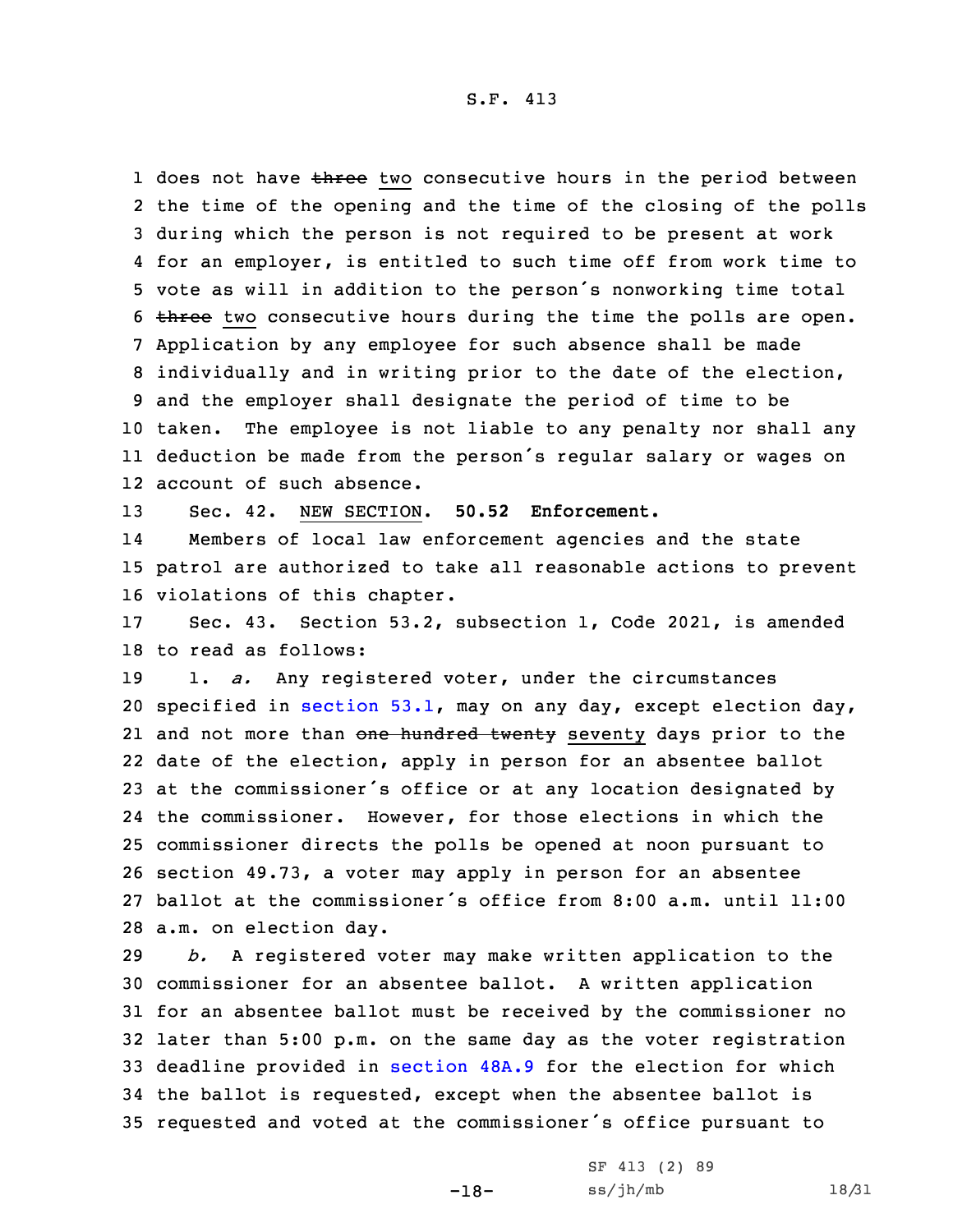1 does not have three two consecutive hours in the period between the time of the opening and the time of the closing of the polls during which the person is not required to be present at work for an employer, is entitled to such time off from work time to vote as will in addition to the person's nonworking time total 6 three two consecutive hours during the time the polls are open. Application by any employee for such absence shall be made individually and in writing prior to the date of the election, and the employer shall designate the period of time to be taken. The employee is not liable to any penalty nor shall any deduction be made from the person's regular salary or wages on account of such absence.

13 Sec. 42. NEW SECTION. **50.52 Enforcement.**

14 Members of local law enforcement agencies and the state 15 patrol are authorized to take all reasonable actions to prevent 16 violations of this chapter.

17 Sec. 43. Section 53.2, subsection 1, Code 2021, is amended 18 to read as follows:

 1. *a.* Any registered voter, under the circumstances specified in [section](https://www.legis.iowa.gov/docs/code/2021/53.1.pdf) 53.1, may on any day, except election day, 21 and not more than <del>one hundred twenty</del> seventy days prior to the date of the election, apply in person for an absentee ballot at the commissioner's office or at any location designated by the commissioner. However, for those elections in which the commissioner directs the polls be opened at noon pursuant to section 49.73, <sup>a</sup> voter may apply in person for an absentee ballot at the commissioner's office from 8:00 a.m. until 11:00 a.m. on election day.

 *b.* <sup>A</sup> registered voter may make written application to the commissioner for an absentee ballot. <sup>A</sup> written application for an absentee ballot must be received by the commissioner no later than 5:00 p.m. on the same day as the voter registration deadline provided in [section](https://www.legis.iowa.gov/docs/code/2021/48A.9.pdf) 48A.9 for the election for which the ballot is requested, except when the absentee ballot is requested and voted at the commissioner's office pursuant to

-18-

| SF 413 (2) 89 |  |  |
|---------------|--|--|
| ss/jh/mb      |  |  |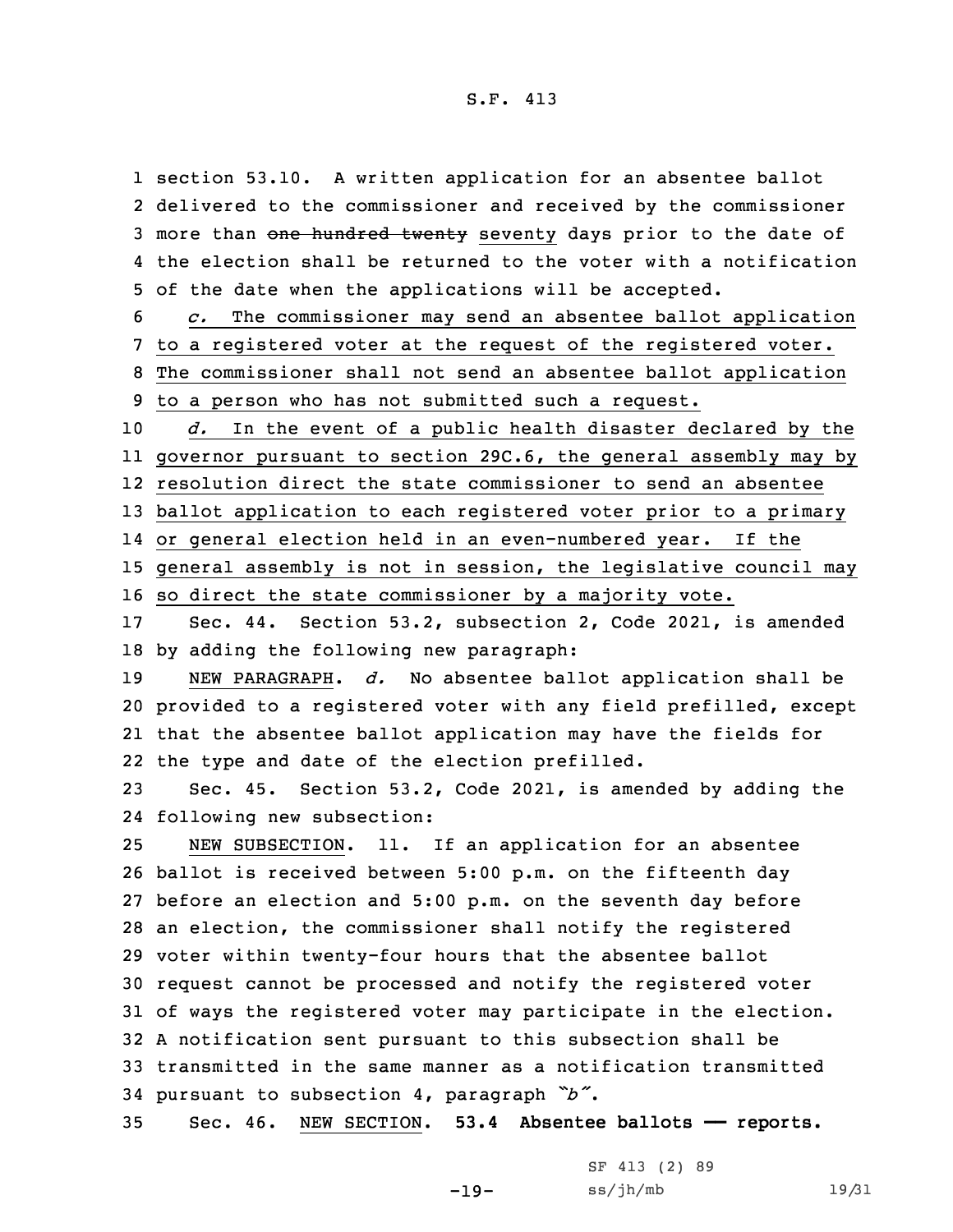section 53.10. <sup>A</sup> written application for an absentee ballot delivered to the commissioner and received by the commissioner 3 more than one hundred twenty seventy days prior to the date of the election shall be returned to the voter with <sup>a</sup> notification of the date when the applications will be accepted.

 *c.* The commissioner may send an absentee ballot application to <sup>a</sup> registered voter at the request of the registered voter. The commissioner shall not send an absentee ballot application to <sup>a</sup> person who has not submitted such <sup>a</sup> request.

 *d.* In the event of <sup>a</sup> public health disaster declared by the governor pursuant to section 29C.6, the general assembly may by resolution direct the state commissioner to send an absentee ballot application to each registered voter prior to <sup>a</sup> primary or general election held in an even-numbered year. If the general assembly is not in session, the legislative council may

16 so direct the state commissioner by <sup>a</sup> majority vote.

17 Sec. 44. Section 53.2, subsection 2, Code 2021, is amended 18 by adding the following new paragraph:

 NEW PARAGRAPH. *d.* No absentee ballot application shall be provided to <sup>a</sup> registered voter with any field prefilled, except that the absentee ballot application may have the fields for the type and date of the election prefilled.

23 Sec. 45. Section 53.2, Code 2021, is amended by adding the 24 following new subsection:

 NEW SUBSECTION. 11. If an application for an absentee ballot is received between 5:00 p.m. on the fifteenth day before an election and 5:00 p.m. on the seventh day before an election, the commissioner shall notify the registered voter within twenty-four hours that the absentee ballot request cannot be processed and notify the registered voter of ways the registered voter may participate in the election. <sup>A</sup> notification sent pursuant to this subsection shall be transmitted in the same manner as <sup>a</sup> notification transmitted pursuant to subsection 4, paragraph *"b"*.

35 Sec. 46. NEW SECTION. **53.4 Absentee ballots —— reports.**

| SF 413 (2) 89 |  |  |  |
|---------------|--|--|--|
| ss/jh/mb      |  |  |  |

19/31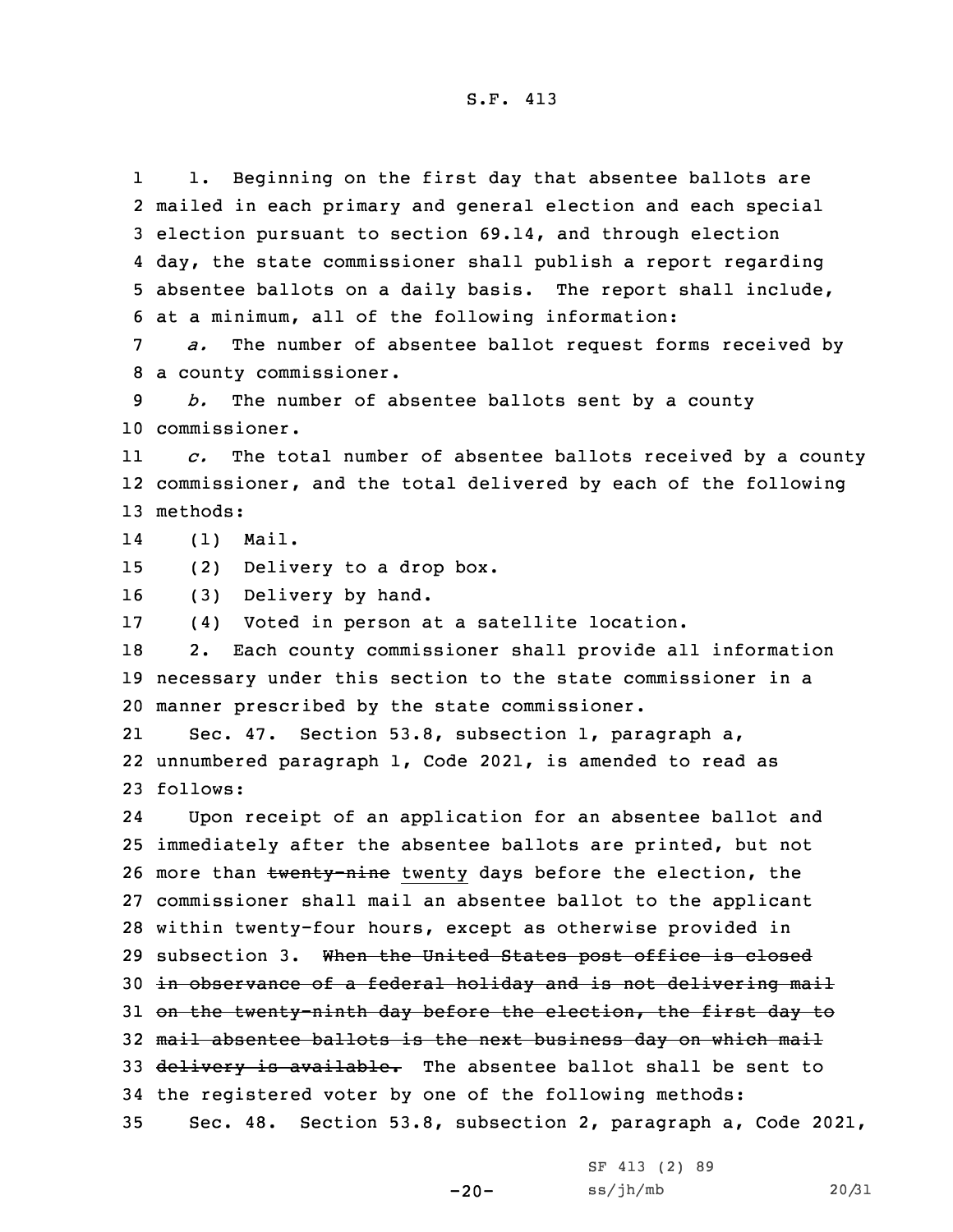1 1. Beginning on the first day that absentee ballots are mailed in each primary and general election and each special election pursuant to section 69.14, and through election day, the state commissioner shall publish <sup>a</sup> report regarding absentee ballots on <sup>a</sup> daily basis. The report shall include, at <sup>a</sup> minimum, all of the following information:

7 *a.* The number of absentee ballot request forms received by 8 <sup>a</sup> county commissioner.

9 *b.* The number of absentee ballots sent by <sup>a</sup> county 10 commissioner.

11 *c.* The total number of absentee ballots received by <sup>a</sup> county 12 commissioner, and the total delivered by each of the following 13 methods:

14(1) Mail.

15 (2) Delivery to <sup>a</sup> drop box.

16 (3) Delivery by hand.

17 (4) Voted in person at <sup>a</sup> satellite location.

18 2. Each county commissioner shall provide all information 19 necessary under this section to the state commissioner in <sup>a</sup> 20 manner prescribed by the state commissioner.

21 Sec. 47. Section 53.8, subsection 1, paragraph a, 22 unnumbered paragraph 1, Code 2021, is amended to read as 23 follows:

24 Upon receipt of an application for an absentee ballot and 25 immediately after the absentee ballots are printed, but not 26 more than twenty-nine twenty days before the election, the 27 commissioner shall mail an absentee ballot to the applicant 28 within twenty-four hours, except as otherwise provided in 29 subsection 3. When the United States post office is closed 30 in observance of <sup>a</sup> federal holiday and is not delivering mail 31 on the twenty-ninth day before the election, the first day to 32 mail absentee ballots is the next business day on which mail 33 delivery is available. The absentee ballot shall be sent to 34 the registered voter by one of the following methods: 35 Sec. 48. Section 53.8, subsection 2, paragraph a, Code 2021,

 $-20-$ 

|  | SF 413 (2) 89 |  |       |
|--|---------------|--|-------|
|  | ss/jh/mb      |  | 20/31 |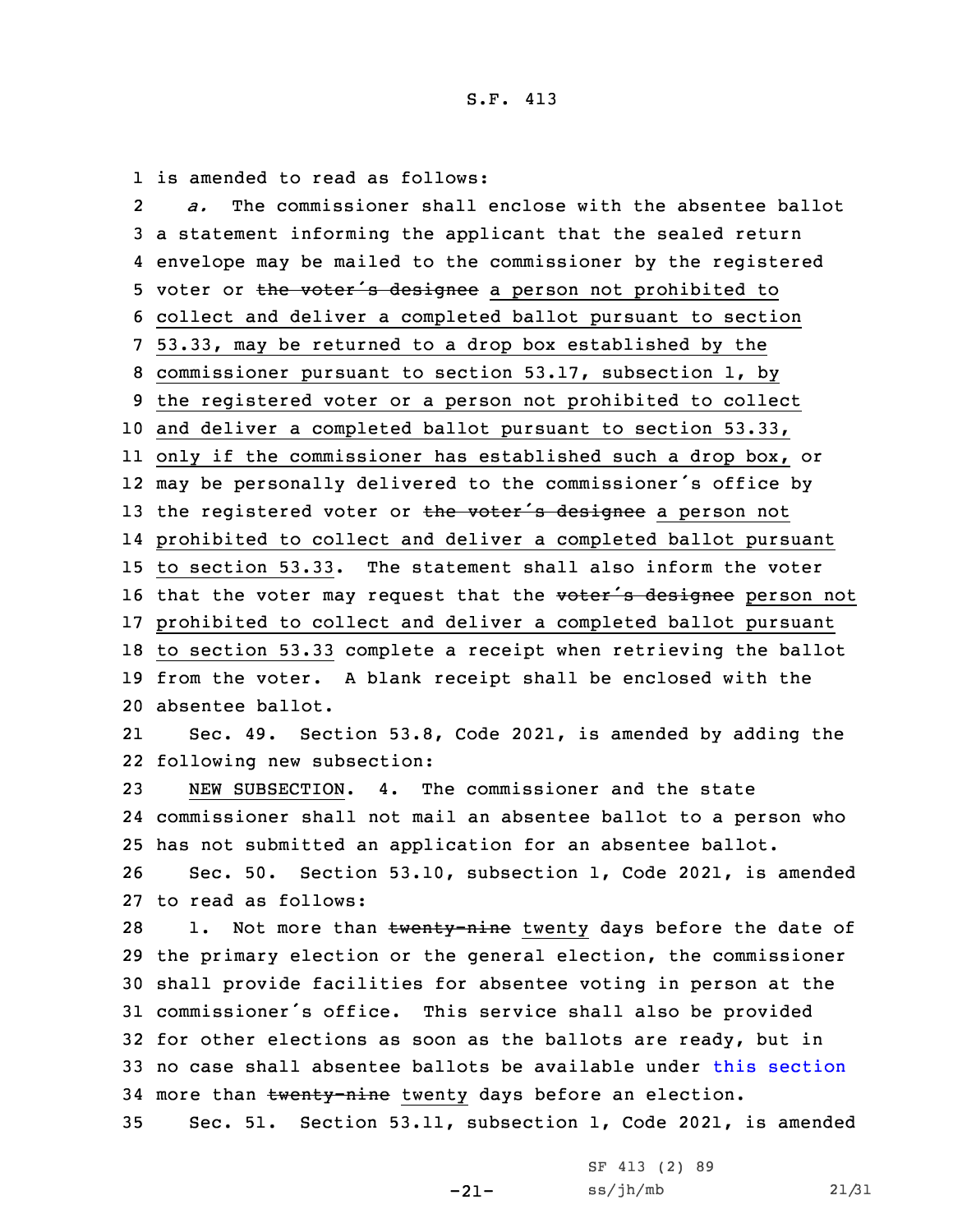1 is amended to read as follows:

2 *a.* The commissioner shall enclose with the absentee ballot <sup>a</sup> statement informing the applicant that the sealed return envelope may be mailed to the commissioner by the registered 5 voter or the voter's designee a person not prohibited to collect and deliver <sup>a</sup> completed ballot pursuant to section 53.33, may be returned to <sup>a</sup> drop box established by the commissioner pursuant to section 53.17, subsection 1, by the registered voter or <sup>a</sup> person not prohibited to collect and deliver <sup>a</sup> completed ballot pursuant to section 53.33, only if the commissioner has established such <sup>a</sup> drop box, or may be personally delivered to the commissioner's office by 13 the registered voter or the voter's designee a person not prohibited to collect and deliver <sup>a</sup> completed ballot pursuant to section 53.33. The statement shall also inform the voter 16 that the voter may request that the voter's designee person not prohibited to collect and deliver <sup>a</sup> completed ballot pursuant to section 53.33 complete <sup>a</sup> receipt when retrieving the ballot from the voter. <sup>A</sup> blank receipt shall be enclosed with the absentee ballot. 21 Sec. 49. Section 53.8, Code 2021, is amended by adding the following new subsection: NEW SUBSECTION. 4. The commissioner and the state commissioner shall not mail an absentee ballot to <sup>a</sup> person who has not submitted an application for an absentee ballot. Sec. 50. Section 53.10, subsection 1, Code 2021, is amended to read as follows: 28 1. Not more than twenty-nine twenty days before the date of the primary election or the general election, the commissioner shall provide facilities for absentee voting in person at the commissioner's office. This service shall also be provided

32 for other elections as soon as the ballots are ready, but in 33 no case shall absentee ballots be available under this [section](https://www.legis.iowa.gov/docs/code/2021/53.10.pdf) 34 more than twenty-nine twenty days before an election.

35 Sec. 51. Section 53.11, subsection 1, Code 2021, is amended

-21-

SF 413 (2) 89 ss/jh/mb 21/31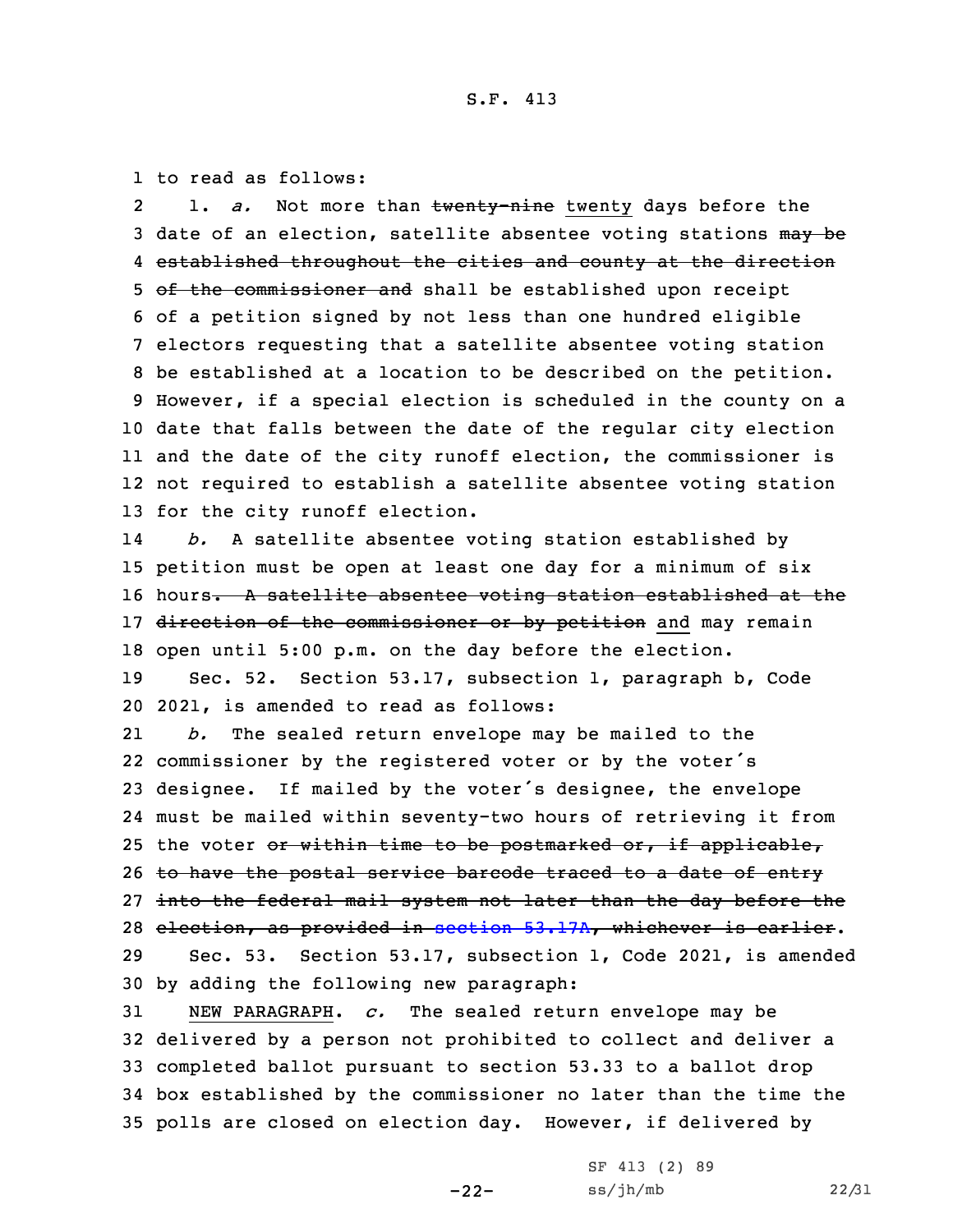1 to read as follows:

2 1. *a.* Not more than twenty-nine twenty days before the 3 date of an election, satellite absentee voting stations may be 4 established throughout the cities and county at the direction 5 of the commissioner and shall be established upon receipt of <sup>a</sup> petition signed by not less than one hundred eligible electors requesting that <sup>a</sup> satellite absentee voting station be established at <sup>a</sup> location to be described on the petition. However, if <sup>a</sup> special election is scheduled in the county on <sup>a</sup> date that falls between the date of the regular city election and the date of the city runoff election, the commissioner is not required to establish <sup>a</sup> satellite absentee voting station for the city runoff election.

14 *b.* <sup>A</sup> satellite absentee voting station established by 15 petition must be open at least one day for <sup>a</sup> minimum of six 16 hours. A satellite absentee voting station established at the 17 direction of the commissioner or by petition and may remain 18 open until 5:00 p.m. on the day before the election.

19 Sec. 52. Section 53.17, subsection 1, paragraph b, Code 20 2021, is amended to read as follows:

21 *b.* The sealed return envelope may be mailed to the 22 commissioner by the registered voter or by the voter's <sup>23</sup> designee. If mailed by the voter's designee, the envelope 24 must be mailed within seventy-two hours of retrieving it from 25 the voter or within time to be postmarked or, if applicable, 26 to have the postal service barcode traced to a date of entry 27 into the federal mail system not later than the day before the 28 election, as provided in section [53.17A](https://www.legis.iowa.gov/docs/code/2021/53.17A.pdf), whichever is earlier. 29 Sec. 53. Section 53.17, subsection 1, Code 2021, is amended 30 by adding the following new paragraph:

 NEW PARAGRAPH. *c.* The sealed return envelope may be delivered by <sup>a</sup> person not prohibited to collect and deliver <sup>a</sup> completed ballot pursuant to section 53.33 to <sup>a</sup> ballot drop box established by the commissioner no later than the time the polls are closed on election day. However, if delivered by

-22-

SF 413 (2) 89  $ss/jh/mb$  22/31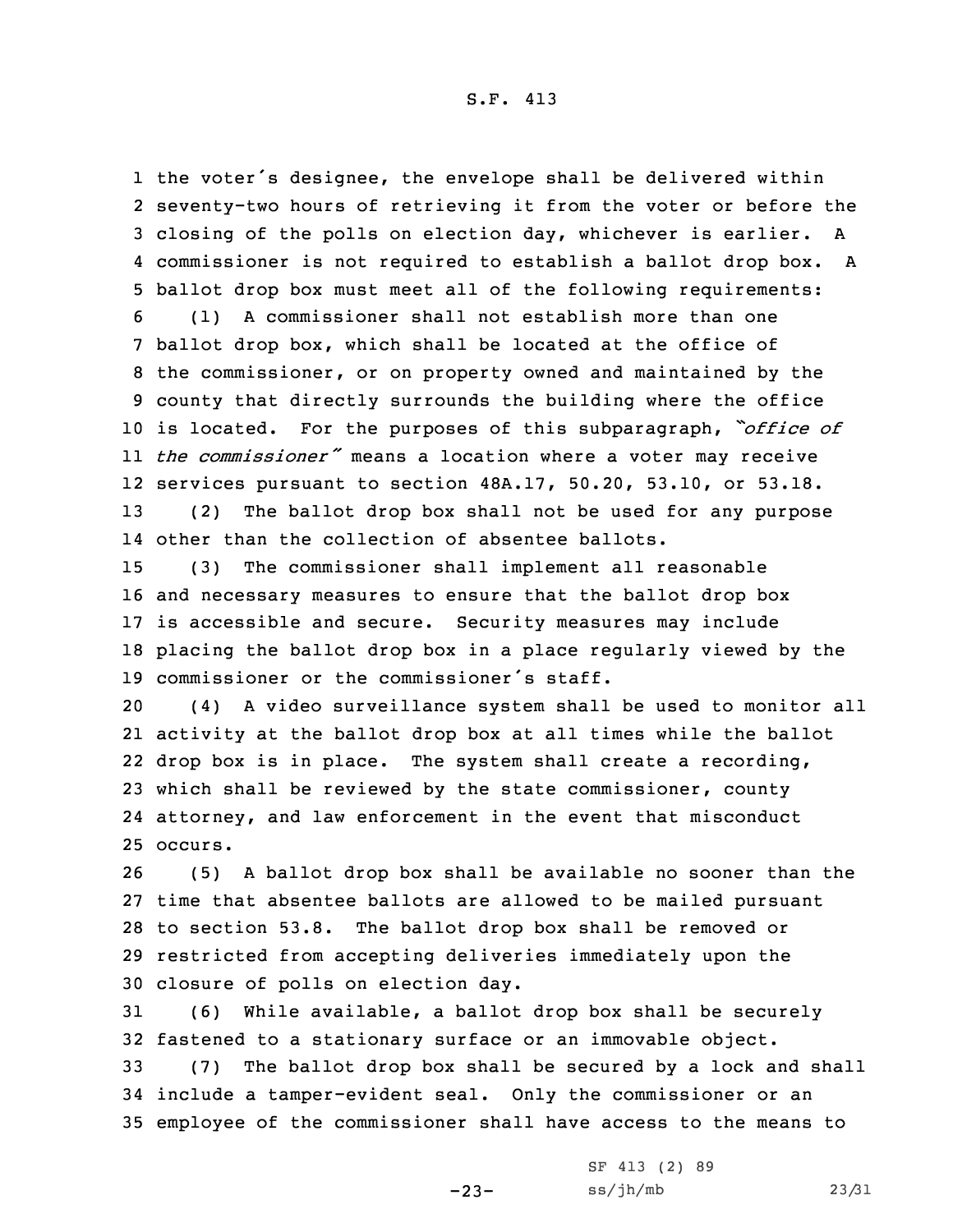the voter's designee, the envelope shall be delivered within seventy-two hours of retrieving it from the voter or before the closing of the polls on election day, whichever is earlier. <sup>A</sup> commissioner is not required to establish <sup>a</sup> ballot drop box. <sup>A</sup> ballot drop box must meet all of the following requirements: (1) <sup>A</sup> commissioner shall not establish more than one ballot drop box, which shall be located at the office of the commissioner, or on property owned and maintained by the county that directly surrounds the building where the office is located. For the purposes of this subparagraph, *"office of the commissioner"* means <sup>a</sup> location where <sup>a</sup> voter may receive services pursuant to section 48A.17, 50.20, 53.10, or 53.18. (2) The ballot drop box shall not be used for any purpose

14 other than the collection of absentee ballots.

 (3) The commissioner shall implement all reasonable and necessary measures to ensure that the ballot drop box is accessible and secure. Security measures may include placing the ballot drop box in <sup>a</sup> place regularly viewed by the commissioner or the commissioner's staff.

 (4) <sup>A</sup> video surveillance system shall be used to monitor all activity at the ballot drop box at all times while the ballot drop box is in place. The system shall create <sup>a</sup> recording, which shall be reviewed by the state commissioner, county attorney, and law enforcement in the event that misconduct 25 occurs.

 (5) <sup>A</sup> ballot drop box shall be available no sooner than the time that absentee ballots are allowed to be mailed pursuant to section 53.8. The ballot drop box shall be removed or restricted from accepting deliveries immediately upon the closure of polls on election day.

31 (6) While available, <sup>a</sup> ballot drop box shall be securely 32 fastened to <sup>a</sup> stationary surface or an immovable object.

 $-23-$ 

33 (7) The ballot drop box shall be secured by <sup>a</sup> lock and shall 34 include <sup>a</sup> tamper-evident seal. Only the commissioner or an 35 employee of the commissioner shall have access to the means to

|  | SF 413 (2) 89 |  |       |
|--|---------------|--|-------|
|  | ss/jh/mb      |  | 23/31 |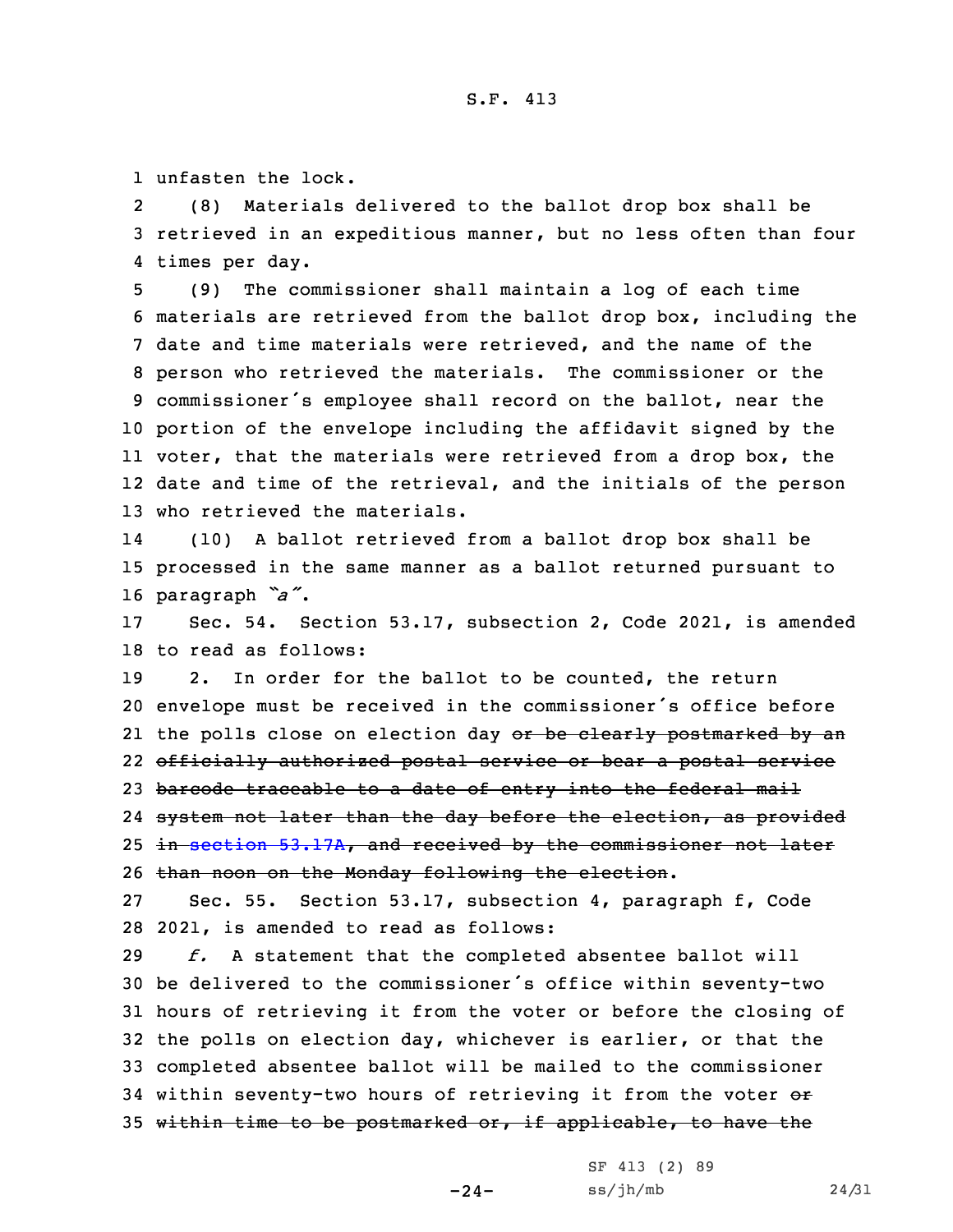1 unfasten the lock.

2 (8) Materials delivered to the ballot drop box shall be 3 retrieved in an expeditious manner, but no less often than four 4 times per day.

 (9) The commissioner shall maintain <sup>a</sup> log of each time materials are retrieved from the ballot drop box, including the date and time materials were retrieved, and the name of the person who retrieved the materials. The commissioner or the commissioner's employee shall record on the ballot, near the portion of the envelope including the affidavit signed by the voter, that the materials were retrieved from <sup>a</sup> drop box, the date and time of the retrieval, and the initials of the person who retrieved the materials.

14 (10) <sup>A</sup> ballot retrieved from <sup>a</sup> ballot drop box shall be 15 processed in the same manner as <sup>a</sup> ballot returned pursuant to <sup>16</sup> paragraph *"a"*.

17 Sec. 54. Section 53.17, subsection 2, Code 2021, is amended 18 to read as follows:

 2. In order for the ballot to be counted, the return envelope must be received in the commissioner's office before 21 the polls close on election day <del>or be clearly postmarked by an</del> officially authorized postal service or bear <sup>a</sup> postal service 23 barcode traceable to a date of entry into the federal mail 24 <del>system not later than the day before the election, as provided</del> in section [53.17A](https://www.legis.iowa.gov/docs/code/2021/53.17A.pdf), and received by the commissioner not later than noon on the Monday following the election.

27 Sec. 55. Section 53.17, subsection 4, paragraph f, Code 28 2021, is amended to read as follows:

 *f.* <sup>A</sup> statement that the completed absentee ballot will be delivered to the commissioner's office within seventy-two hours of retrieving it from the voter or before the closing of the polls on election day, whichever is earlier, or that the completed absentee ballot will be mailed to the commissioner 34 within seventy-two hours of retrieving it from the voter or within time to be postmarked or, if applicable, to have the

-24-

SF 413 (2) 89  $ss/jh/mb$  24/31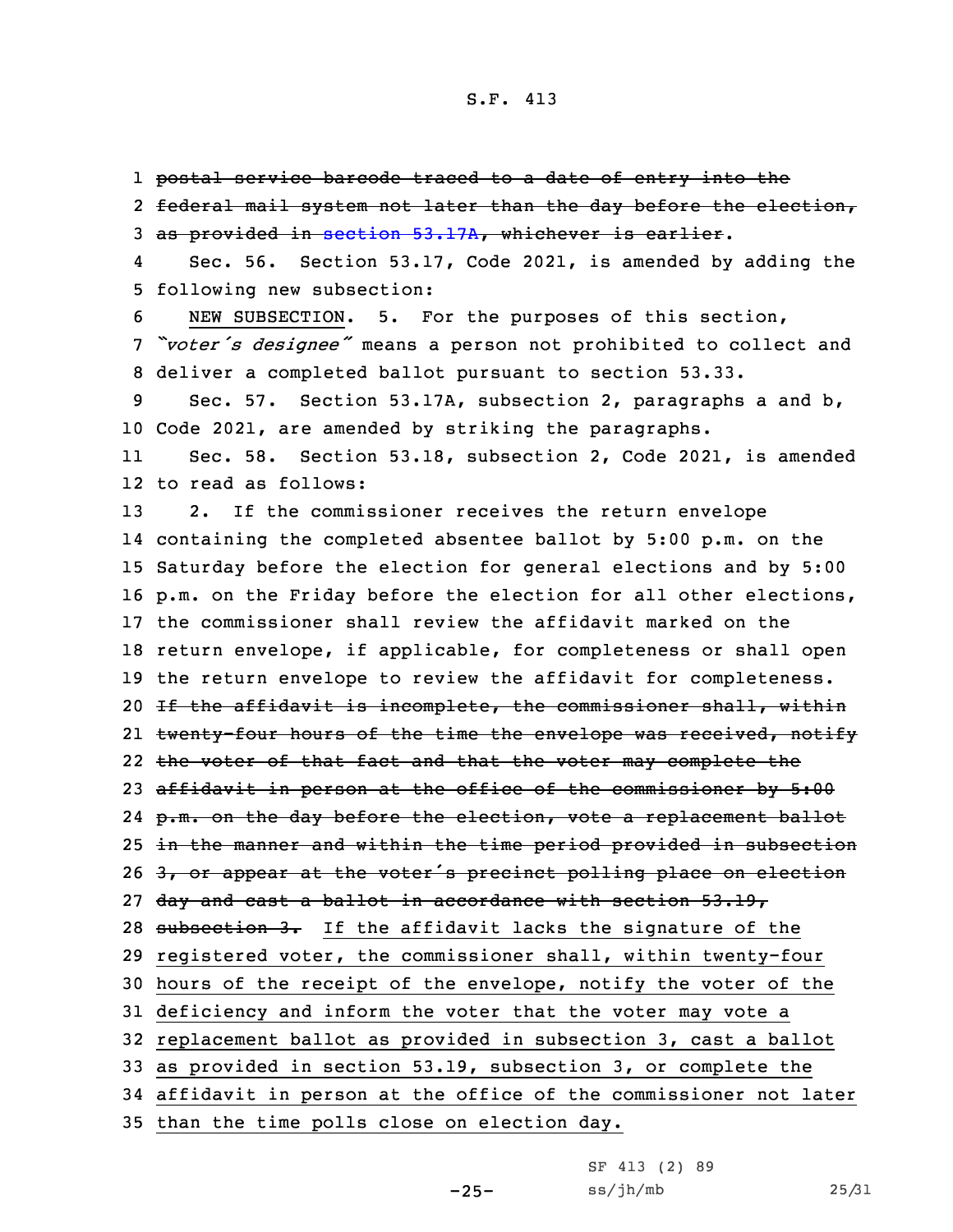1 postal service barcode traced to <sup>a</sup> date of entry into the

2 federal mail system not later than the day before the election, 3 as provided in [section](https://www.legis.iowa.gov/docs/code/2021/53.17A.pdf) 53.17A, whichever is earlier.

4 Sec. 56. Section 53.17, Code 2021, is amended by adding the 5 following new subsection:

6 NEW SUBSECTION. 5. For the purposes of this section, <sup>7</sup> *"voter's designee"* means <sup>a</sup> person not prohibited to collect and 8 deliver <sup>a</sup> completed ballot pursuant to section 53.33.

9 Sec. 57. Section 53.17A, subsection 2, paragraphs <sup>a</sup> and b, 10 Code 2021, are amended by striking the paragraphs.

11 Sec. 58. Section 53.18, subsection 2, Code 2021, is amended 12 to read as follows:

 2. If the commissioner receives the return envelope containing the completed absentee ballot by 5:00 p.m. on the Saturday before the election for general elections and by 5:00 p.m. on the Friday before the election for all other elections, the commissioner shall review the affidavit marked on the return envelope, if applicable, for completeness or shall open the return envelope to review the affidavit for completeness. 20 If the affidavit is incomplete, the commissioner shall, within 21 <del>twenty-four hours of the time the envelope was received, notify</del> the voter of that fact and that the voter may complete the affidavit in person at the office of the commissioner by 5:00 p.m. on the day before the election, vote <sup>a</sup> replacement ballot 25 in the manner and within the time period provided in subsection 26 3, or appear at the voter's precinct polling place on election day and cast <sup>a</sup> ballot in accordance with section 53.19, 28 subsection 3. If the affidavit lacks the signature of the registered voter, the commissioner shall, within twenty-four hours of the receipt of the envelope, notify the voter of the deficiency and inform the voter that the voter may vote <sup>a</sup> replacement ballot as provided in subsection 3, cast <sup>a</sup> ballot as provided in section 53.19, subsection 3, or complete the affidavit in person at the office of the commissioner not later than the time polls close on election day.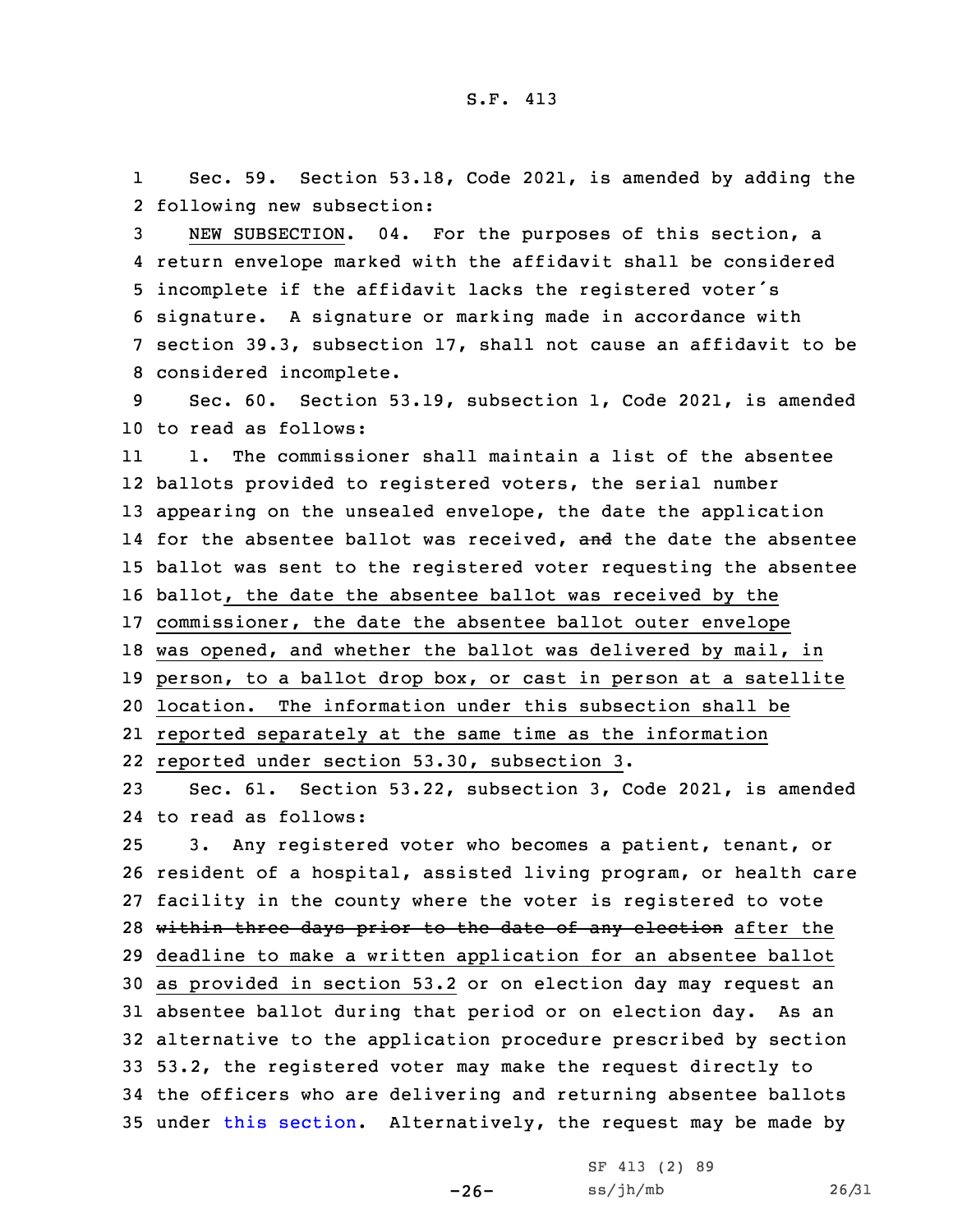1 Sec. 59. Section 53.18, Code 2021, is amended by adding the 2 following new subsection:

 NEW SUBSECTION. 04. For the purposes of this section, <sup>a</sup> return envelope marked with the affidavit shall be considered incomplete if the affidavit lacks the registered voter's signature. <sup>A</sup> signature or marking made in accordance with section 39.3, subsection 17, shall not cause an affidavit to be considered incomplete.

9 Sec. 60. Section 53.19, subsection 1, Code 2021, is amended 10 to read as follows:

11 1. The commissioner shall maintain <sup>a</sup> list of the absentee ballots provided to registered voters, the serial number appearing on the unsealed envelope, the date the application 14 for the absentee ballot was received, and the date the absentee ballot was sent to the registered voter requesting the absentee ballot, the date the absentee ballot was received by the commissioner, the date the absentee ballot outer envelope was opened, and whether the ballot was delivered by mail, in person, to <sup>a</sup> ballot drop box, or cast in person at <sup>a</sup> satellite location. The information under this subsection shall be reported separately at the same time as the information reported under section 53.30, subsection 3.

23 Sec. 61. Section 53.22, subsection 3, Code 2021, is amended 24 to read as follows:

 3. Any registered voter who becomes <sup>a</sup> patient, tenant, or resident of <sup>a</sup> hospital, assisted living program, or health care facility in the county where the voter is registered to vote 28 within three days prior to the date of any election after the deadline to make <sup>a</sup> written application for an absentee ballot as provided in section 53.2 or on election day may request an absentee ballot during that period or on election day. As an alternative to the application procedure prescribed by section 53.2, the registered voter may make the request directly to the officers who are delivering and returning absentee ballots under this [section](https://www.legis.iowa.gov/docs/code/2021/53.22.pdf). Alternatively, the request may be made by

 $-26-$ 

SF 413 (2) 89 ss/jh/mb 26/31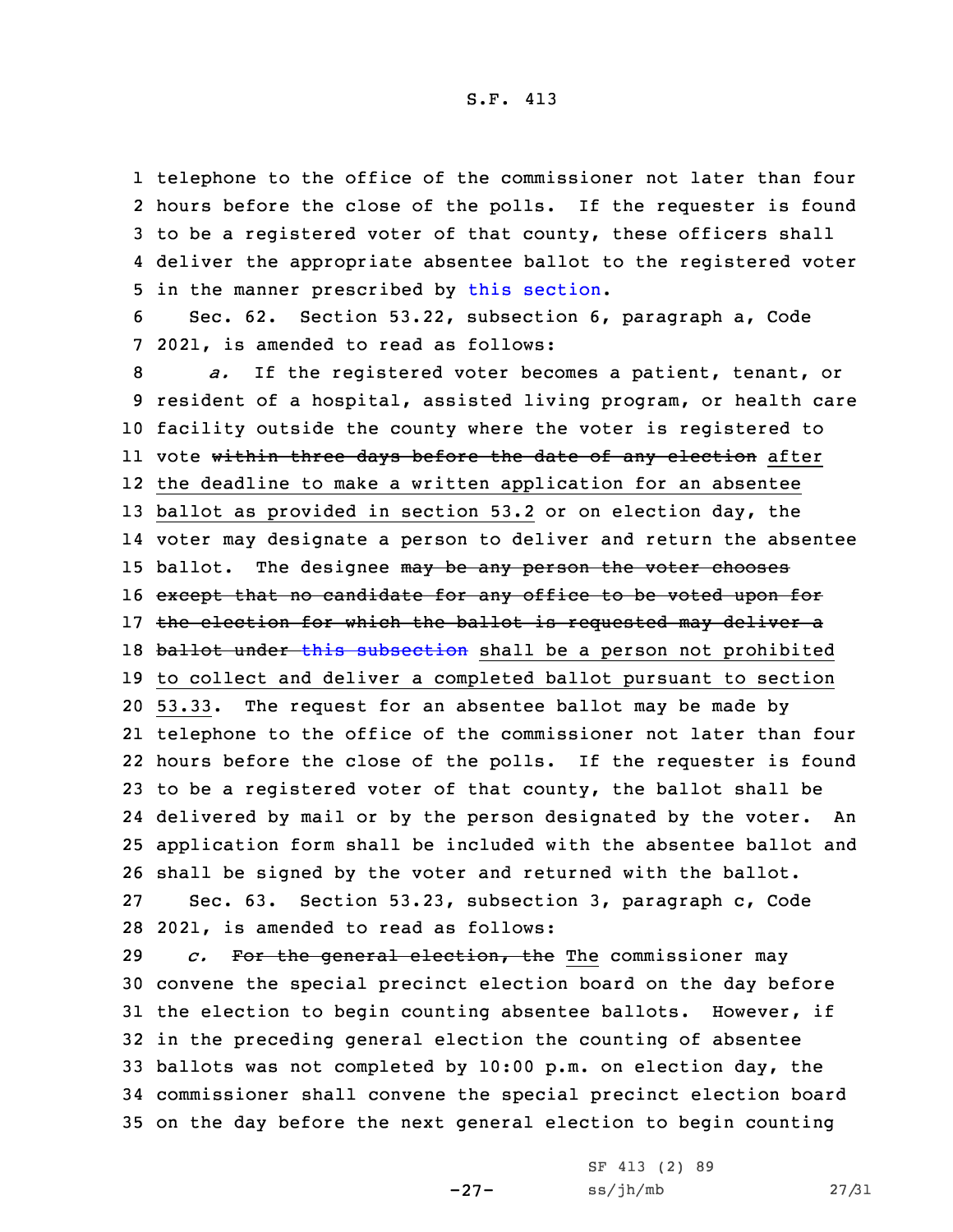telephone to the office of the commissioner not later than four hours before the close of the polls. If the requester is found to be <sup>a</sup> registered voter of that county, these officers shall deliver the appropriate absentee ballot to the registered voter 5 in the manner prescribed by this [section](https://www.legis.iowa.gov/docs/code/2021/53.22.pdf).

6 Sec. 62. Section 53.22, subsection 6, paragraph a, Code 7 2021, is amended to read as follows:

 *a.* If the registered voter becomes <sup>a</sup> patient, tenant, or resident of <sup>a</sup> hospital, assisted living program, or health care facility outside the county where the voter is registered to ll vote <del>within three days before the date of any election</del> after the deadline to make <sup>a</sup> written application for an absentee ballot as provided in section 53.2 or on election day, the voter may designate <sup>a</sup> person to deliver and return the absentee 15 ballot. The designee may be any person the voter chooses 16 except that no candidate for any office to be voted upon for 17 the election for which the ballot is requested may deliver a 18 ballot under this [subsection](https://www.legis.iowa.gov/docs/code/2021/53.22.pdf) shall be a person not prohibited to collect and deliver <sup>a</sup> completed ballot pursuant to section 53.33. The request for an absentee ballot may be made by telephone to the office of the commissioner not later than four hours before the close of the polls. If the requester is found to be <sup>a</sup> registered voter of that county, the ballot shall be delivered by mail or by the person designated by the voter. An application form shall be included with the absentee ballot and shall be signed by the voter and returned with the ballot. Sec. 63. Section 53.23, subsection 3, paragraph c, Code 2021, is amended to read as follows:

 *c.* For the general election, the The commissioner may convene the special precinct election board on the day before the election to begin counting absentee ballots. However, if in the preceding general election the counting of absentee ballots was not completed by 10:00 p.m. on election day, the commissioner shall convene the special precinct election board on the day before the next general election to begin counting

-27-

SF 413 (2) 89 ss/jh/mb 27/31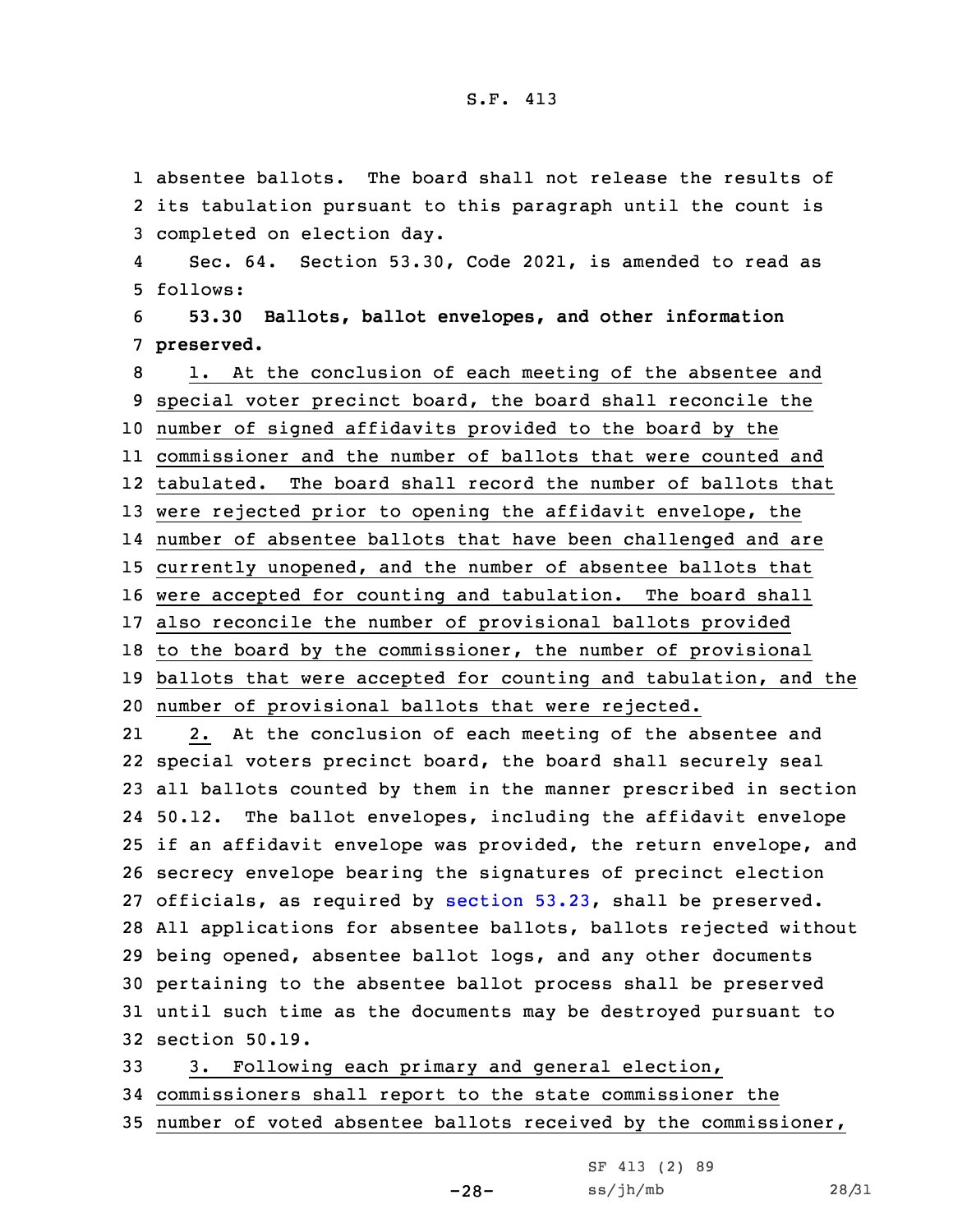1 absentee ballots. The board shall not release the results of 2 its tabulation pursuant to this paragraph until the count is 3 completed on election day.

4 Sec. 64. Section 53.30, Code 2021, is amended to read as 5 follows:

6 **53.30 Ballots, ballot envelopes, and other information** 7 **preserved.**

 1. At the conclusion of each meeting of the absentee and special voter precinct board, the board shall reconcile the number of signed affidavits provided to the board by the commissioner and the number of ballots that were counted and tabulated. The board shall record the number of ballots that were rejected prior to opening the affidavit envelope, the number of absentee ballots that have been challenged and are currently unopened, and the number of absentee ballots that were accepted for counting and tabulation. The board shall also reconcile the number of provisional ballots provided to the board by the commissioner, the number of provisional ballots that were accepted for counting and tabulation, and the number of provisional ballots that were rejected.

21 2. At the conclusion of each meeting of the absentee and special voters precinct board, the board shall securely seal all ballots counted by them in the manner prescribed in section 50.12. The ballot envelopes, including the affidavit envelope if an affidavit envelope was provided, the return envelope, and secrecy envelope bearing the signatures of precinct election officials, as required by [section](https://www.legis.iowa.gov/docs/code/2021/53.23.pdf) 53.23, shall be preserved. All applications for absentee ballots, ballots rejected without being opened, absentee ballot logs, and any other documents pertaining to the absentee ballot process shall be preserved until such time as the documents may be destroyed pursuant to section 50.19.

33 3. Following each primary and general election, 34 commissioners shall report to the state commissioner the 35 number of voted absentee ballots received by the commissioner,

 $-28-$ 

| SF 413 (2) 89 |       |
|---------------|-------|
| ss/jh/mb      | 28/31 |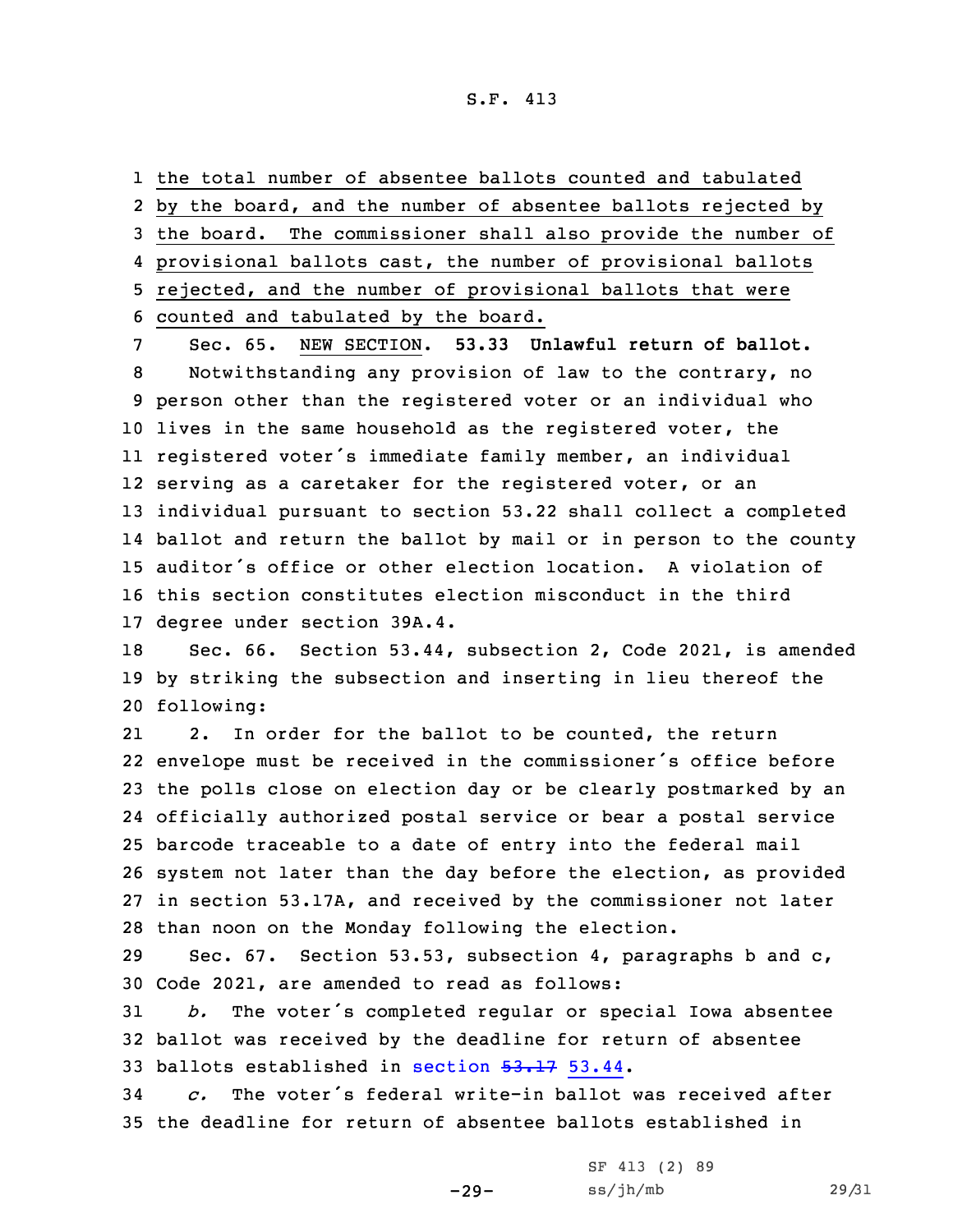the total number of absentee ballots counted and tabulated by the board, and the number of absentee ballots rejected by the board. The commissioner shall also provide the number of provisional ballots cast, the number of provisional ballots rejected, and the number of provisional ballots that were counted and tabulated by the board.

 Sec. 65. NEW SECTION. **53.33 Unlawful return of ballot.** Notwithstanding any provision of law to the contrary, no person other than the registered voter or an individual who lives in the same household as the registered voter, the registered voter's immediate family member, an individual serving as <sup>a</sup> caretaker for the registered voter, or an individual pursuant to section 53.22 shall collect <sup>a</sup> completed ballot and return the ballot by mail or in person to the county auditor's office or other election location. A violation of this section constitutes election misconduct in the third degree under section 39A.4.

18 Sec. 66. Section 53.44, subsection 2, Code 2021, is amended 19 by striking the subsection and inserting in lieu thereof the 20 following:

21 2. In order for the ballot to be counted, the return envelope must be received in the commissioner's office before the polls close on election day or be clearly postmarked by an officially authorized postal service or bear <sup>a</sup> postal service barcode traceable to <sup>a</sup> date of entry into the federal mail system not later than the day before the election, as provided in section 53.17A, and received by the commissioner not later than noon on the Monday following the election.

29 Sec. 67. Section 53.53, subsection 4, paragraphs b and c, 30 Code 2021, are amended to read as follows:

<sup>31</sup> *b.* The voter's completed regular or special Iowa absentee 32 ballot was received by the deadline for return of absentee 33 ballots established in [section](https://www.legis.iowa.gov/docs/code/2021/53.17.pdf) 53.17 53.44.

34 *c.* The voter's federal write-in ballot was received after 35 the deadline for return of absentee ballots established in

-29-

SF 413 (2) 89 ss/jh/mb 29/31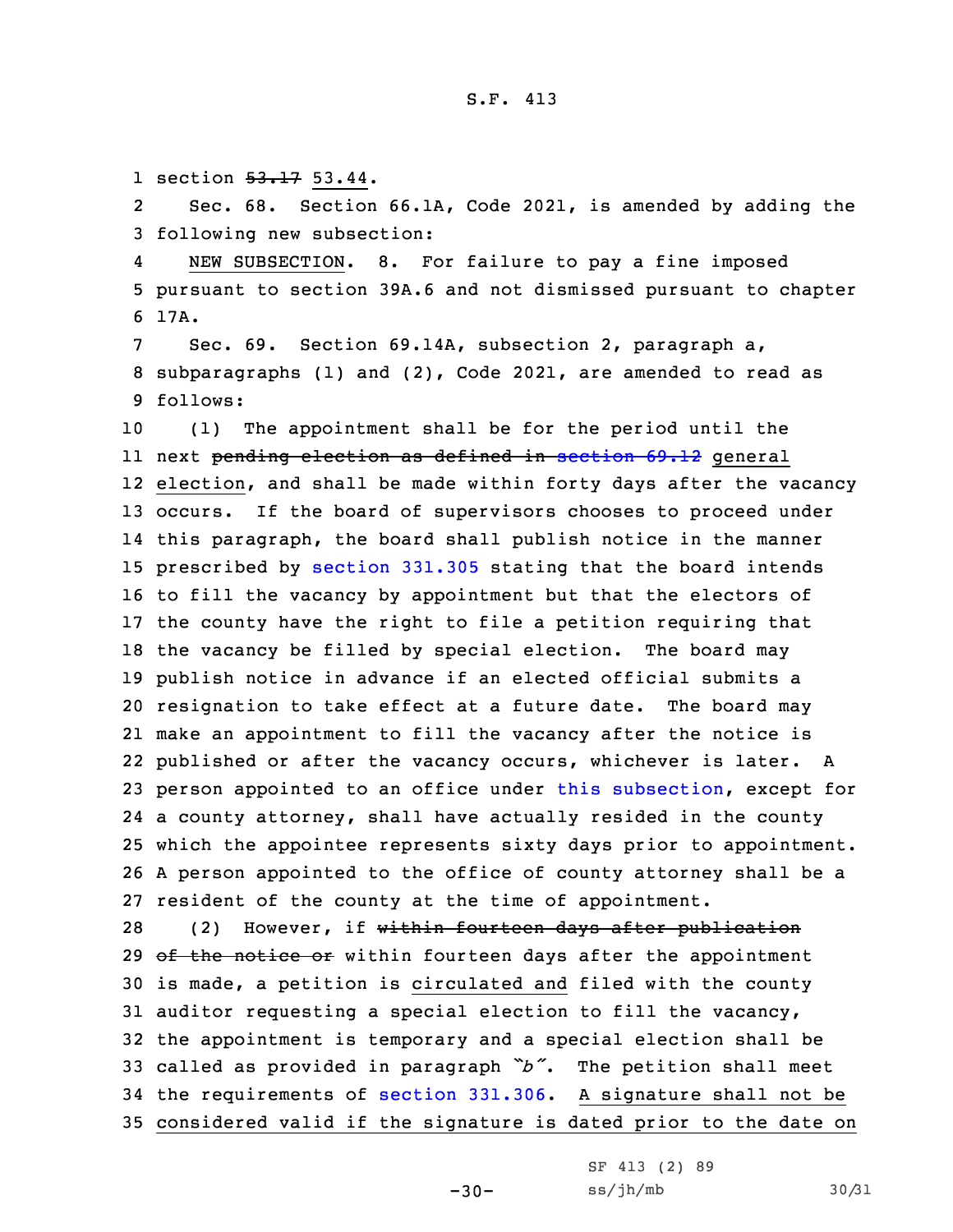1 section  $53.17$  53.44.

2 Sec. 68. Section 66.1A, Code 2021, is amended by adding the 3 following new subsection:

4 NEW SUBSECTION. 8. For failure to pay <sup>a</sup> fine imposed 5 pursuant to section 39A.6 and not dismissed pursuant to chapter 6 17A.

7 Sec. 69. Section 69.14A, subsection 2, paragraph a, 8 subparagraphs (1) and (2), Code 2021, are amended to read as 9 follows:

 (1) The appointment shall be for the period until the next pending election as defined in [section](https://www.legis.iowa.gov/docs/code/2021/69.12.pdf) 69.12 general election, and shall be made within forty days after the vacancy occurs. If the board of supervisors chooses to proceed under this paragraph, the board shall publish notice in the manner prescribed by [section](https://www.legis.iowa.gov/docs/code/2021/331.305.pdf) 331.305 stating that the board intends to fill the vacancy by appointment but that the electors of the county have the right to file <sup>a</sup> petition requiring that the vacancy be filled by special election. The board may publish notice in advance if an elected official submits <sup>a</sup> resignation to take effect at <sup>a</sup> future date. The board may make an appointment to fill the vacancy after the notice is published or after the vacancy occurs, whichever is later. <sup>A</sup> person appointed to an office under this [subsection](https://www.legis.iowa.gov/docs/code/2021/69.14A.pdf), except for <sup>a</sup> county attorney, shall have actually resided in the county which the appointee represents sixty days prior to appointment. <sup>A</sup> person appointed to the office of county attorney shall be <sup>a</sup> resident of the county at the time of appointment.

28 (2) However, if within fourteen days after publication  $\theta$  the notice  $\theta$  within fourteen days after the appointment is made, <sup>a</sup> petition is circulated and filed with the county auditor requesting <sup>a</sup> special election to fill the vacancy, the appointment is temporary and <sup>a</sup> special election shall be called as provided in paragraph *"b"*. The petition shall meet the requirements of section [331.306](https://www.legis.iowa.gov/docs/code/2021/331.306.pdf). <sup>A</sup> signature shall not be considered valid if the signature is dated prior to the date on

 $-30-$ 

```
SF 413 (2) 89
ss/jh/mb 30/31
```